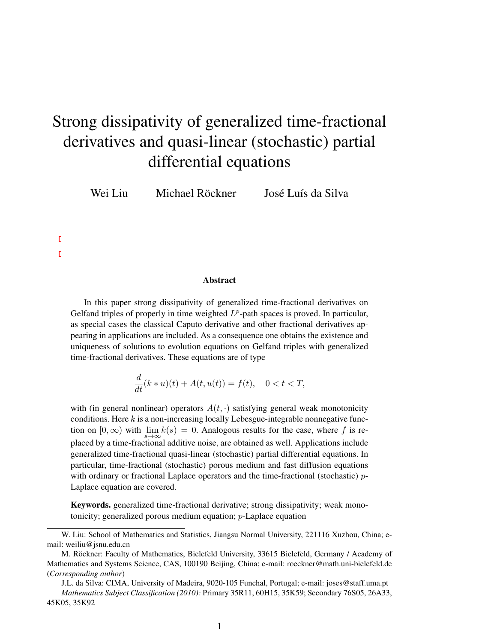# <span id="page-0-0"></span>Strong dissipativity of generalized time-fractional derivatives and quasi-linear (stochastic) partial differential equations

Wei Liu Michael Röckner José Luís da Silva

#### Abstract

In this paper strong dissipativity of generalized time-fractional derivatives on Gelfand triples of properly in time weighted  $L^p$ -path spaces is proved. In particular, as special cases the classical Caputo derivative and other fractional derivatives appearing in applications are included. As a consequence one obtains the existence and uniqueness of solutions to evolution equations on Gelfand triples with generalized time-fractional derivatives. These equations are of type

$$
\frac{d}{dt}(k * u)(t) + A(t, u(t)) = f(t), \quad 0 < t < T,
$$

with (in general nonlinear) operators  $A(t, \cdot)$  satisfying general weak monotonicity conditions. Here  $k$  is a non-increasing locally Lebesgue-integrable nonnegative function on  $[0, \infty)$  with  $\lim_{s \to \infty} k(s) = 0$ . Analogous results for the case, where f is replaced by a time-fractional additive noise, are obtained as well. Applications include generalized time-fractional quasi-linear (stochastic) partial differential equations. In particular, time-fractional (stochastic) porous medium and fast diffusion equations with ordinary or fractional Laplace operators and the time-fractional (stochastic) *p*-Laplace equation are covered.

Keywords. generalized time-fractional derivative; strong dissipativity; weak monotonicity; generalized porous medium equation; p-Laplace equation

W. Liu: School of Mathematics and Statistics, Jiangsu Normal University, 221116 Xuzhou, China; email: weiliu@jsnu.edu.cn

M. Röckner: Faculty of Mathematics, Bielefeld University, 33615 Bielefeld, Germany / Academy of Mathematics and Systems Science, CAS, 100190 Beijing, China; e-mail: roeckner@math.uni-bielefeld.de (*Corresponding author*)

J.L. da Silva: CIMA, University of Madeira, 9020-105 Funchal, Portugal; e-mail: joses@staff.uma.pt *Mathematics Subject Classification (2010):* Primary 35R11, 60H15, 35K59; Secondary 76S05, 26A33, 45K05, 35K92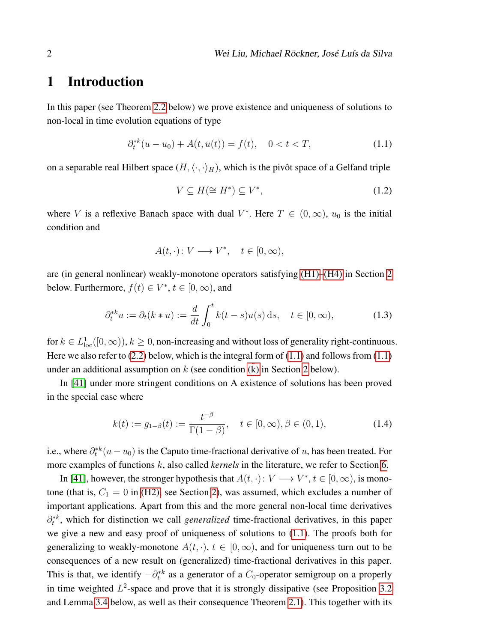### 1 Introduction

In this paper (see Theorem [2.2](#page-9-0) below) we prove existence and uniqueness of solutions to non-local in time evolution equations of type

$$
\partial_t^{*k}(u - u_0) + A(t, u(t)) = f(t), \quad 0 < t < T,\tag{1.1}
$$

on a separable real Hilbert space  $(H, \langle \cdot, \cdot \rangle_H)$ , which is the pivôt space of a Gelfand triple

<span id="page-1-0"></span>
$$
V \subseteq H(\cong H^*) \subseteq V^*,\tag{1.2}
$$

where V is a reflexive Banach space with dual  $V^*$ . Here  $T \in (0, \infty)$ ,  $u_0$  is the initial condition and

<span id="page-1-1"></span>
$$
A(t, \cdot) \colon V \longrightarrow V^*, \quad t \in [0, \infty),
$$

are (in general nonlinear) weakly-monotone operators satisfying [\(H1\)](#page-6-0)[–\(H4\)](#page-7-0) in Section [2](#page-5-0) below. Furthermore,  $f(t) \in V^*$ ,  $t \in [0, \infty)$ , and

$$
\partial_t^* u := \partial_t (k * u) := \frac{d}{dt} \int_0^t k(t - s) u(s) \, \mathrm{d} s, \quad t \in [0, \infty), \tag{1.3}
$$

for  $k \in L^1_{loc}([0,\infty))$ ,  $k \geq 0$ , non-increasing and without loss of generality right-continuous. Here we also refer to  $(2.2)$  below, which is the integral form of  $(1.1)$  and follows from  $(1.1)$ under an additional assumption on  $k$  (see condition  $(k)$  in Section [2](#page-5-0) below).

In [\[41\]](#page-31-0) under more stringent conditions on A existence of solutions has been proved in the special case where

<span id="page-1-2"></span>
$$
k(t) := g_{1-\beta}(t) := \frac{t^{-\beta}}{\Gamma(1-\beta)}, \quad t \in [0, \infty), \beta \in (0, 1), \tag{1.4}
$$

i.e., where  $\partial_t^{*k}(u - u_0)$  is the Caputo time-fractional derivative of u, has been treated. For more examples of functions k, also called *kernels* in the literature, we refer to Section [6.](#page-19-0)

In [\[41\]](#page-31-0), however, the stronger hypothesis that  $A(t, \cdot): V \longrightarrow V^*, t \in [0, \infty)$ , is monotone (that is,  $C_1 = 0$  in [\(H2\),](#page-6-3) see Section [2\)](#page-5-0), was assumed, which excludes a number of important applications. Apart from this and the more general non-local time derivatives ∂<sup>\*k</sup>, which for distinction we call *generalized* time-fractional derivatives, in this paper we give a new and easy proof of uniqueness of solutions to [\(1.1\)](#page-1-0). The proofs both for generalizing to weakly-monotone  $A(t, \cdot)$ ,  $t \in [0, \infty)$ , and for uniqueness turn out to be consequences of a new result on (generalized) time-fractional derivatives in this paper. This is that, we identify  $-\partial_t^{*k}$  as a generator of a  $C_0$ -operator semigroup on a properly in time weighted  $L^2$ -space and prove that it is strongly dissipative (see Proposition [3.2](#page-11-0)) and Lemma [3.4](#page-11-1) below, as well as their consequence Theorem [2.1\)](#page-8-0). This together with its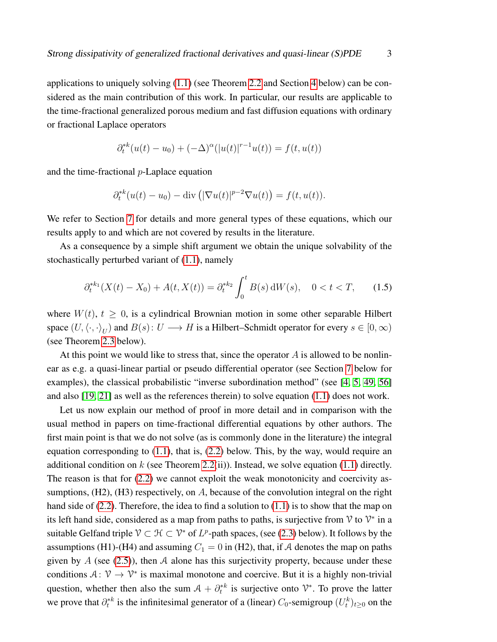applications to uniquely solving [\(1.1\)](#page-1-0) (see Theorem [2.2](#page-9-0) and Section [4](#page-17-0) below) can be considered as the main contribution of this work. In particular, our results are applicable to the time-fractional generalized porous medium and fast diffusion equations with ordinary or fractional Laplace operators

$$
\partial_t^{*k}(u(t) - u_0) + (-\Delta)^{\alpha}(|u(t)|^{r-1}u(t)) = f(t, u(t))
$$

and the time-fractional p-Laplace equation

$$
\partial_t^{*k}(u(t) - u_0) - \text{div}\left(|\nabla u(t)|^{p-2}\nabla u(t)\right) = f(t, u(t)).
$$

We refer to Section [7](#page-22-0) for details and more general types of these equations, which our results apply to and which are not covered by results in the literature.

As a consequence by a simple shift argument we obtain the unique solvability of the stochastically perturbed variant of [\(1.1\)](#page-1-0), namely

$$
\partial_t^{*k_1}(X(t) - X_0) + A(t, X(t)) = \partial_t^{*k_2} \int_0^t B(s) \, dW(s), \quad 0 < t < T,\tag{1.5}
$$

where  $W(t)$ ,  $t \geq 0$ , is a cylindrical Brownian motion in some other separable Hilbert space  $(U, \langle \cdot, \cdot \rangle_U)$  and  $B(s)$ :  $U \longrightarrow H$  is a Hilbert–Schmidt operator for every  $s \in [0, \infty)$ (see Theorem [2.3](#page-10-0) below).

At this point we would like to stress that, since the operator  $A$  is allowed to be nonlinear as e.g. a quasi-linear partial or pseudo differential operator (see Section [7](#page-22-0) below for examples), the classical probabilistic "inverse subordination method" (see [\[4,](#page-29-0) [5,](#page-29-1) [49,](#page-32-0) [56\]](#page-33-0) and also [\[19,](#page-30-0) [21\]](#page-30-1) as well as the references therein) to solve equation [\(1.1\)](#page-1-0) does not work.

Let us now explain our method of proof in more detail and in comparison with the usual method in papers on time-fractional differential equations by other authors. The first main point is that we do not solve (as is commonly done in the literature) the integral equation corresponding to  $(1.1)$ , that is,  $(2.2)$  below. This, by the way, would require an additional condition on k (see Theorem [2.2\(](#page-9-0)ii)). Instead, we solve equation [\(1.1\)](#page-1-0) directly. The reason is that for [\(2.2\)](#page-6-1) we cannot exploit the weak monotonicity and coercivity assumptions,  $(H2)$ ,  $(H3)$  respectively, on A, because of the convolution integral on the right hand side of  $(2.2)$ . Therefore, the idea to find a solution to  $(1.1)$  is to show that the map on its left hand side, considered as a map from paths to paths, is surjective from  $\mathcal V$  to  $\mathcal V^*$  in a suitable Gelfand triple  $\mathcal{V} \subset \mathcal{H} \subset \mathcal{V}^*$  of  $L^p$ -path spaces, (see [\(2.3\)](#page-7-1) below). It follows by the assumptions (H1)-(H4) and assuming  $C_1 = 0$  in (H2), that, if A denotes the map on paths given by  $A$  (see [\(2.5\)](#page-7-2)), then  $A$  alone has this surjectivity property, because under these conditions  $A: \mathcal{V} \to \mathcal{V}^*$  is maximal monotone and coercive. But it is a highly non-trivial question, whether then also the sum  $A + \partial_t^*$  is surjective onto  $\mathcal{V}^*$ . To prove the latter we prove that  $\partial_t^* k$  is the infinitesimal generator of a (linear)  $C_0$ -semigroup  $(U_t^k)_{t\geq 0}$  on the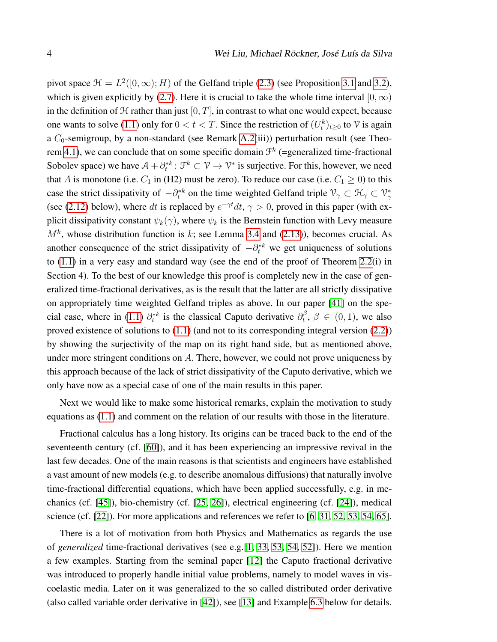pivot space  $\mathcal{H} = L^2([0,\infty); H)$  of the Gelfand triple [\(2.3\)](#page-7-1) (see Proposition [3.1](#page-12-0) and [3.2\)](#page-13-0), which is given explicitly by [\(2.7\)](#page-7-3). Here it is crucial to take the whole time interval [0,  $\infty$ ) in the definition of  $H$  rather than just  $[0, T]$ , in contrast to what one would expect, because one wants to solve [\(1.1\)](#page-1-0) only for  $0 < t < T$ . Since the restriction of  $(U_t^k)_{t \geq 0}$  to  $\mathcal V$  is again a  $C_0$ -semigroup, by a non-standard (see Remark [A.2\(](#page-0-0)iii)) perturbation result (see Theo-rem [4.1\)](#page-17-1), we can conclude that on some specific domain  $\mathcal{F}^k$  (=generalized time-fractional Sobolev space) we have  $A + \partial_t^* k$ :  $\mathcal{F}^k \subset \mathcal{V} \to \mathcal{V}^*$  is surjective. For this, however, we need that A is monotone (i.e.  $C_1$  in (H2) must be zero). To reduce our case (i.e.  $C_1 \ge 0$ ) to this case the strict dissipativity of  $-\partial_t^{*k}$  on the time weighted Gelfand triple  $\mathcal{V}_\gamma \subset \mathcal{H}_\gamma \subset \mathcal{V}_\gamma^*$ (see [\(2.12\)](#page-9-1) below), where dt is replaced by  $e^{-\gamma t}dt$ ,  $\gamma > 0$ , proved in this paper (with explicit dissipativity constant  $\psi_k(\gamma)$ , where  $\psi_k$  is the Bernstein function with Levy measure  $M<sup>k</sup>$ , whose distribution function is k; see Lemma [3.4](#page-11-1) and [\(2.13\)](#page-9-2)), becomes crucial. As another consequence of the strict dissipativity of  $-\partial_t^{*k}$  we get uniqueness of solutions to [\(1.1\)](#page-1-0) in a very easy and standard way (see the end of the proof of Theorem [2.2\(](#page-9-0)i) in Section 4). To the best of our knowledge this proof is completely new in the case of generalized time-fractional derivatives, as is the result that the latter are all strictly dissipative on appropriately time weighted Gelfand triples as above. In our paper [\[41\]](#page-31-0) on the spe-cial case, where in [\(1.1\)](#page-1-0)  $\partial_t^{*k}$  is the classical Caputo derivative  $\partial_t^{\beta}$  $t^{\beta}, \beta \in (0,1)$ , we also proved existence of solutions to [\(1.1\)](#page-1-0) (and not to its corresponding integral version [\(2.2\)](#page-6-1)) by showing the surjectivity of the map on its right hand side, but as mentioned above, under more stringent conditions on A. There, however, we could not prove uniqueness by this approach because of the lack of strict dissipativity of the Caputo derivative, which we only have now as a special case of one of the main results in this paper.

Next we would like to make some historical remarks, explain the motivation to study equations as [\(1.1\)](#page-1-0) and comment on the relation of our results with those in the literature.

Fractional calculus has a long history. Its origins can be traced back to the end of the seventeenth century (cf. [\[60\]](#page-33-1)), and it has been experiencing an impressive revival in the last few decades. One of the main reasons is that scientists and engineers have established a vast amount of new models (e.g. to describe anomalous diffusions) that naturally involve time-fractional differential equations, which have been applied successfully, e.g. in mechanics (cf. [\[45\]](#page-32-1)), bio-chemistry (cf. [\[25,](#page-30-2) [26\]](#page-30-3)), electrical engineering (cf. [\[24\]](#page-30-4)), medical science (cf. [\[22\]](#page-30-5)). For more applications and references we refer to [\[6,](#page-29-2) [31,](#page-31-1) [52,](#page-32-2) [53,](#page-32-3) [54,](#page-32-4) [65\]](#page-33-2).

There is a lot of motivation from both Physics and Mathematics as regards the use of *generalized* time-fractional derivatives (see e.g.[\[1,](#page-28-0) [33,](#page-31-2) [53,](#page-32-3) [54,](#page-32-4) [52\]](#page-32-2)). Here we mention a few examples. Starting from the seminal paper [\[12\]](#page-29-3) the Caputo fractional derivative was introduced to properly handle initial value problems, namely to model waves in viscoelastic media. Later on it was generalized to the so called distributed order derivative (also called variable order derivative in [\[42\]](#page-31-3)), see [\[13\]](#page-29-4) and Example [6.3](#page-20-0) below for details.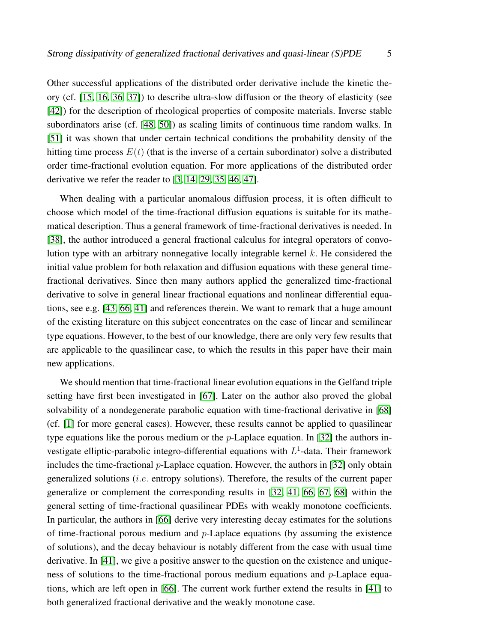Other successful applications of the distributed order derivative include the kinetic theory (cf. [\[15,](#page-30-6) [16,](#page-30-7) [36,](#page-31-4) [37\]](#page-31-5)) to describe ultra-slow diffusion or the theory of elasticity (see [\[42\]](#page-31-3)) for the description of rheological properties of composite materials. Inverse stable subordinators arise (cf. [\[48,](#page-32-5) [50\]](#page-32-6)) as scaling limits of continuous time random walks. In [\[51\]](#page-32-7) it was shown that under certain technical conditions the probability density of the hitting time process  $E(t)$  (that is the inverse of a certain subordinator) solve a distributed order time-fractional evolution equation. For more applications of the distributed order derivative we refer the reader to [\[3,](#page-29-5) [14,](#page-29-6) [29,](#page-31-6) [35,](#page-31-7) [46,](#page-32-8) [47\]](#page-32-9).

When dealing with a particular anomalous diffusion process, it is often difficult to choose which model of the time-fractional diffusion equations is suitable for its mathematical description. Thus a general framework of time-fractional derivatives is needed. In [\[38\]](#page-31-8), the author introduced a general fractional calculus for integral operators of convolution type with an arbitrary nonnegative locally integrable kernel  $k$ . He considered the initial value problem for both relaxation and diffusion equations with these general timefractional derivatives. Since then many authors applied the generalized time-fractional derivative to solve in general linear fractional equations and nonlinear differential equations, see e.g. [\[43,](#page-32-10) [66,](#page-33-3) [41\]](#page-31-0) and references therein. We want to remark that a huge amount of the existing literature on this subject concentrates on the case of linear and semilinear type equations. However, to the best of our knowledge, there are only very few results that are applicable to the quasilinear case, to which the results in this paper have their main new applications.

We should mention that time-fractional linear evolution equations in the Gelfand triple setting have first been investigated in [\[67\]](#page-33-4). Later on the author also proved the global solvability of a nondegenerate parabolic equation with time-fractional derivative in [\[68\]](#page-33-5) (cf. [\[1\]](#page-28-0) for more general cases). However, these results cannot be applied to quasilinear type equations like the porous medium or the  $p$ -Laplace equation. In [\[32\]](#page-31-9) the authors investigate elliptic-parabolic integro-differential equations with  $L^1$ -data. Their framework includes the time-fractional  $p$ -Laplace equation. However, the authors in [\[32\]](#page-31-9) only obtain generalized solutions (i.e. entropy solutions). Therefore, the results of the current paper generalize or complement the corresponding results in [\[32,](#page-31-9) [41,](#page-31-0) [66,](#page-33-3) [67,](#page-33-4) [68\]](#page-33-5) within the general setting of time-fractional quasilinear PDEs with weakly monotone coefficients. In particular, the authors in [\[66\]](#page-33-3) derive very interesting decay estimates for the solutions of time-fractional porous medium and  $p$ -Laplace equations (by assuming the existence of solutions), and the decay behaviour is notably different from the case with usual time derivative. In [\[41\]](#page-31-0), we give a positive answer to the question on the existence and uniqueness of solutions to the time-fractional porous medium equations and  $p$ -Laplace equations, which are left open in [\[66\]](#page-33-3). The current work further extend the results in [\[41\]](#page-31-0) to both generalized fractional derivative and the weakly monotone case.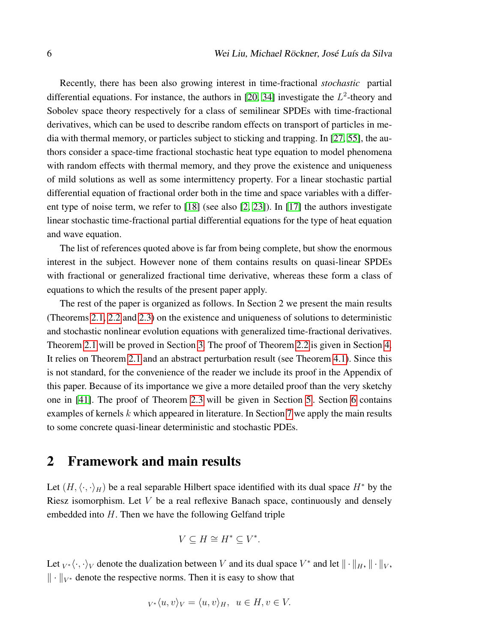Recently, there has been also growing interest in time-fractional *stochastic* partial differential equations. For instance, the authors in [\[20,](#page-30-8) [34\]](#page-31-10) investigate the  $L^2$ -theory and Sobolev space theory respectively for a class of semilinear SPDEs with time-fractional derivatives, which can be used to describe random effects on transport of particles in media with thermal memory, or particles subject to sticking and trapping. In [\[27,](#page-30-9) [55\]](#page-32-11), the authors consider a space-time fractional stochastic heat type equation to model phenomena with random effects with thermal memory, and they prove the existence and uniqueness of mild solutions as well as some intermittency property. For a linear stochastic partial differential equation of fractional order both in the time and space variables with a different type of noise term, we refer to [\[18\]](#page-30-10) (see also [\[2,](#page-29-7) [23\]](#page-30-11)). In [\[17\]](#page-30-12) the authors investigate linear stochastic time-fractional partial differential equations for the type of heat equation and wave equation.

The list of references quoted above is far from being complete, but show the enormous interest in the subject. However none of them contains results on quasi-linear SPDEs with fractional or generalized fractional time derivative, whereas these form a class of equations to which the results of the present paper apply.

The rest of the paper is organized as follows. In Section 2 we present the main results (Theorems [2.1,](#page-8-0) [2.2](#page-9-0) and [2.3\)](#page-10-0) on the existence and uniqueness of solutions to deterministic and stochastic nonlinear evolution equations with generalized time-fractional derivatives. Theorem [2.1](#page-8-0) will be proved in Section [3.](#page-11-2) The proof of Theorem [2.2](#page-9-0) is given in Section [4.](#page-17-0) It relies on Theorem [2.1](#page-8-0) and an abstract perturbation result (see Theorem [4.1\)](#page-17-1). Since this is not standard, for the convenience of the reader we include its proof in the Appendix of this paper. Because of its importance we give a more detailed proof than the very sketchy one in [\[41\]](#page-31-0). The proof of Theorem [2.3](#page-10-0) will be given in Section [5](#page-19-1) . Section [6](#page-19-0) contains examples of kernels k which appeared in literature. In Section [7](#page-22-0) we apply the main results to some concrete quasi-linear deterministic and stochastic PDEs.

## <span id="page-5-0"></span>2 Framework and main results

Let  $(H, \langle \cdot, \cdot \rangle_H)$  be a real separable Hilbert space identified with its dual space  $H^*$  by the Riesz isomorphism. Let  $V$  be a real reflexive Banach space, continuously and densely embedded into  $H$ . Then we have the following Gelfand triple

$$
V \subseteq H \cong H^* \subseteq V^*.
$$

Let  $_{V^*}\langle \cdot, \cdot \rangle_V$  denote the dualization between V and its dual space  $V^*$  and let  $\|\cdot\|_H$ ,  $\|\cdot\|_V$ ,  $\|\cdot\|_{V^*}$  denote the respective norms. Then it is easy to show that

$$
V^*\langle u, v \rangle_V = \langle u, v \rangle_H, \ u \in H, v \in V.
$$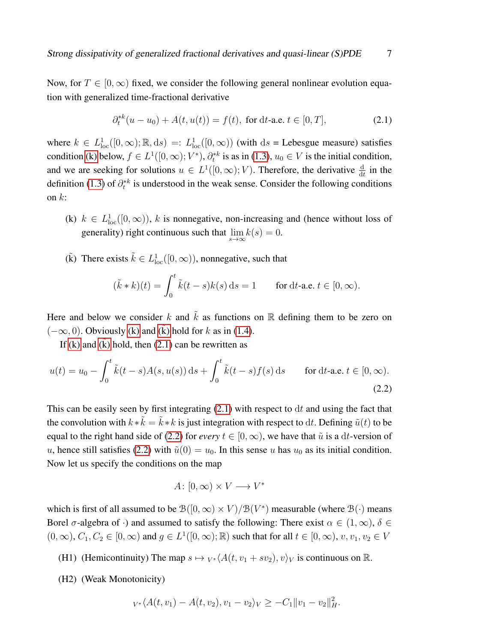Now, for  $T \in [0,\infty)$  fixed, we consider the following general nonlinear evolution equation with generalized time-fractional derivative

<span id="page-6-5"></span>
$$
\partial_t^{*k}(u - u_0) + A(t, u(t)) = f(t), \text{ for dt-a.e. } t \in [0, T], \tag{2.1}
$$

where  $k \in L^1_{loc}([0,\infty);\mathbb{R},ds) =: L^1_{loc}([0,\infty))$  (with  $ds$  = Lebesgue measure) satisfies condition [\(k\)](#page-6-4) below,  $f \in L^1([0,\infty); V^*)$ ,  $\partial_t^{*k}$  is as in [\(1.3\)](#page-1-1),  $u_0 \in V$  is the initial condition, and we are seeking for solutions  $u \in L^1([0,\infty); V)$ . Therefore, the derivative  $\frac{d}{dt}$  in the definition [\(1.3\)](#page-1-1) of  $\partial_t^*$ <sup>k</sup> is understood in the weak sense. Consider the following conditions on  $k$ :

- <span id="page-6-4"></span>(k)  $k \in L^1_{loc}([0,\infty))$ , k is nonnegative, non-increasing and (hence without loss of generality) right continuous such that  $\lim_{s\to\infty} k(s) = 0$ .
- <span id="page-6-2"></span>( $\tilde{k}$ ) There exists  $\tilde{k} \in L^1_{loc}([0,\infty))$ , nonnegative, such that

$$
(\tilde{k} * k)(t) = \int_0^t \tilde{k}(t - s)k(s) ds = 1 \quad \text{for dt-a.e. } t \in [0, \infty).
$$

Here and below we consider k and  $\tilde{k}$  as functions on R defining them to be zero on  $(-\infty, 0)$ . Obviously [\(k\)](#page-6-2) and (k) hold for k as in [\(1.4\)](#page-1-2).

If [\(k\)](#page-6-2) and (k) hold, then  $(2.1)$  can be rewritten as

$$
u(t) = u_0 - \int_0^t \tilde{k}(t-s)A(s, u(s)) ds + \int_0^t \tilde{k}(t-s)f(s) ds \quad \text{for dt-a.e. } t \in [0, \infty).
$$
\n(2.2)

This can be easily seen by first integrating  $(2.1)$  with respect to dt and using the fact that the convolution with  $k * \tilde{k} = \tilde{k} * k$  is just integration with respect to dt. Defining  $\tilde{u}(t)$  to be equal to the right hand side of [\(2.2\)](#page-6-1) for *every*  $t \in [0, \infty)$ , we have that  $\tilde{u}$  is a dt-version of u, hence still satisfies [\(2.2\)](#page-6-1) with  $\tilde{u}(0) = u_0$ . In this sense u has  $u_0$  as its initial condition. Now let us specify the conditions on the map

<span id="page-6-1"></span>
$$
A\colon [0,\infty)\times V\longrightarrow V^*
$$

which is first of all assumed to be  $\mathcal{B}([0,\infty) \times V)/\mathcal{B}(V^*)$  measurable (where  $\mathcal{B}(\cdot)$  means Borel  $\sigma$ -algebra of ·) and assumed to satisfy the following: There exist  $\alpha \in (1,\infty)$ ,  $\delta \in$  $(0, \infty), C_1, C_2 \in [0, \infty)$  and  $g \in L^1([0, \infty); \mathbb{R})$  such that for all  $t \in [0, \infty), v, v_1, v_2 \in V$ 

<span id="page-6-0"></span>(H1) (Hemicontinuity) The map  $s \mapsto V^* \langle A(t, v_1 + sv_2), v \rangle_V$  is continuous on R.

<span id="page-6-3"></span>(H2) (Weak Monotonicity)

$$
v \cdot \langle A(t, v_1) - A(t, v_2), v_1 - v_2 \rangle_V \ge -C_1 ||v_1 - v_2||_H^2.
$$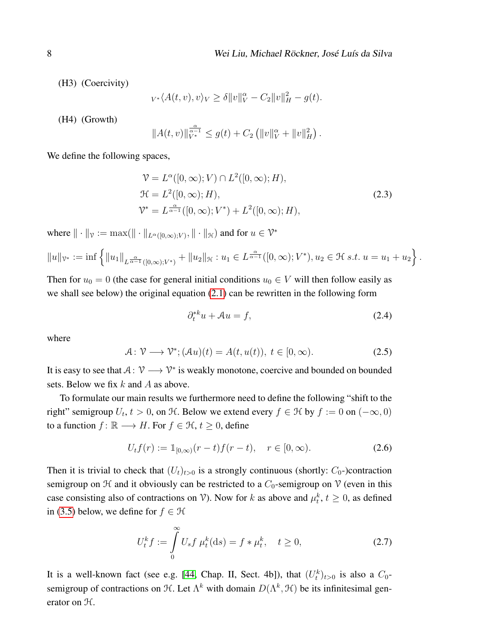<span id="page-7-5"></span>(H3) (Coercivity)

$$
v \cdot \langle A(t, v), v \rangle_V \ge \delta ||v||_V^{\alpha} - C_2 ||v||_H^2 - g(t).
$$

<span id="page-7-0"></span>(H4) (Growth)

$$
||A(t, v)||_{V^*}^{\frac{\alpha}{\alpha - 1}} \le g(t) + C_2 (||v||_V^{\alpha} + ||v||_H^2).
$$

We define the following spaces,

$$
\mathcal{V} = L^{\alpha}([0, \infty); V) \cap L^{2}([0, \infty); H),
$$
  
\n
$$
\mathcal{H} = L^{2}([0, \infty); H),
$$
  
\n
$$
\mathcal{V}^{*} = L^{\frac{\alpha}{\alpha - 1}}([0, \infty); V^{*}) + L^{2}([0, \infty); H),
$$
\n(2.3)

where  $\|\cdot\|_{\nu} := \max(\|\cdot\|_{L^{\alpha}([0,\infty);V)}, \|\cdot\|_{\mathcal{H}})$  and for  $u \in \mathcal{V}^*$ 

$$
||u||_{\mathcal{V}^*} := \inf \left\{ ||u_1||_{L^{\frac{\alpha}{\alpha-1}}([0,\infty);V^*)} + ||u_2||_{\mathcal{H}} : u_1 \in L^{\frac{\alpha}{\alpha-1}}([0,\infty);V^*), u_2 \in \mathcal{H} \text{ s.t. } u = u_1 + u_2 \right\}.
$$

Then for  $u_0 = 0$  (the case for general initial conditions  $u_0 \in V$  will then follow easily as we shall see below) the original equation [\(2.1\)](#page-6-5) can be rewritten in the following form

<span id="page-7-4"></span><span id="page-7-1"></span>
$$
\partial_t^*{}^k u + \mathcal{A}u = f,\tag{2.4}
$$

where

<span id="page-7-2"></span>
$$
\mathcal{A}: \mathcal{V} \longrightarrow \mathcal{V}^*; (\mathcal{A}u)(t) = A(t, u(t)), \ t \in [0, \infty).
$$
 (2.5)

It is easy to see that  $A: V \longrightarrow V^*$  is weakly monotone, coercive and bounded on bounded sets. Below we fix  $k$  and  $A$  as above.

To formulate our main results we furthermore need to define the following "shift to the right" semigroup  $U_t$ ,  $t > 0$ , on  $H$ . Below we extend every  $f \in H$  by  $f := 0$  on  $(-\infty, 0)$ to a function  $f: \mathbb{R} \longrightarrow H$ . For  $f \in \mathcal{H}, t \geq 0$ , define

$$
U_t f(r) := \mathbb{1}_{[0,\infty)}(r-t) f(r-t), \quad r \in [0,\infty). \tag{2.6}
$$

Then it is trivial to check that  $(U_t)_{t>0}$  is a strongly continuous (shortly:  $C_0$ -)contraction semigroup on  $H$  and it obviously can be restricted to a  $C_0$ -semigroup on  $V$  (even in this case consisting also of contractions on V). Now for k as above and  $\mu_t^k$ ,  $t \geq 0$ , as defined in [\(3.5\)](#page-11-3) below, we define for  $f \in \mathcal{H}$ 

<span id="page-7-3"></span>
$$
U_t^k f := \int_0^\infty U_s f \,\mu_t^k(\mathrm{d}s) = f * \mu_t^k, \quad t \ge 0,\tag{2.7}
$$

It is a well-known fact (see e.g. [\[44,](#page-32-12) Chap. II, Sect. 4b]), that  $(U_t^k)_{t>0}$  is also a  $C_0$ semigroup of contractions on  $\mathcal{H}$ . Let  $\Lambda^k$  with domain  $D(\Lambda^k, \mathcal{H})$  be its infinitesimal generator on H.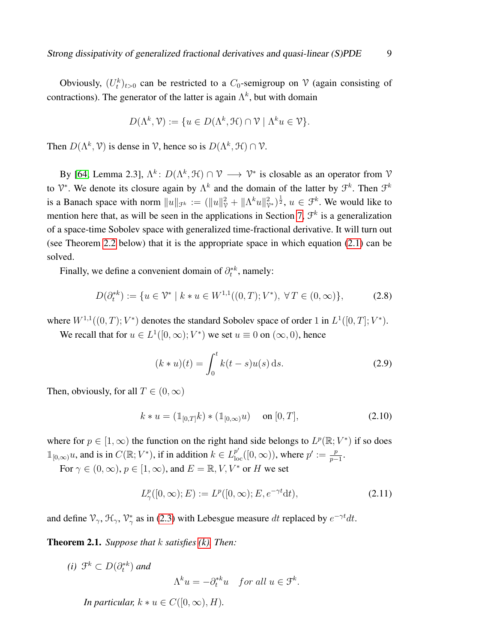Obviously,  $(U_t^k)_{t>0}$  can be restricted to a  $C_0$ -semigroup on V (again consisting of contractions). The generator of the latter is again  $\Lambda^k$ , but with domain

$$
D(\Lambda^k, \mathcal{V}) := \{ u \in D(\Lambda^k, \mathcal{H}) \cap \mathcal{V} \mid \Lambda^k u \in \mathcal{V} \}.
$$

Then  $D(\Lambda^k, \mathcal{V})$  is dense in  $\mathcal{V}$ , hence so is  $D(\Lambda^k, \mathcal{H}) \cap \mathcal{V}$ .

By [\[64,](#page-33-6) Lemma 2.3],  $\Lambda^k$ :  $D(\Lambda^k, \mathcal{H}) \cap \mathcal{V} \longrightarrow \mathcal{V}^*$  is closable as an operator from  $\mathcal{V}$ to  $\mathcal{V}^*$ . We denote its closure again by  $\Lambda^k$  and the domain of the latter by  $\mathcal{F}^k$ . Then  $\mathcal{F}^k$ is a Banach space with norm  $||u||_{\mathcal{F}^k} := (||u||^2_{\mathcal{V}} + ||\Lambda^k u||^2_{\mathcal{V}^*})^{\frac{1}{2}}$ ,  $u \in \mathcal{F}^k$ . We would like to mention here that, as will be seen in the applications in Section [7,](#page-22-0)  $\mathcal{F}^k$  is a generalization of a space-time Sobolev space with generalized time-fractional derivative. It will turn out (see Theorem [2.2](#page-9-0) below) that it is the appropriate space in which equation [\(2.1\)](#page-6-5) can be solved.

Finally, we define a convenient domain of  $\partial_t^{*k}$ , namely:

$$
D(\partial_t^*) := \{ u \in \mathcal{V}^* \mid k * u \in W^{1,1}((0,T);V^*), \forall T \in (0,\infty) \},\tag{2.8}
$$

where  $W^{1,1}((0,T); V^*)$  denotes the standard Sobolev space of order 1 in  $L^1([0,T]; V^*)$ .

We recall that for  $u \in L^1([0,\infty); V^*)$  we set  $u \equiv 0$  on  $(\infty, 0)$ , hence

<span id="page-8-1"></span>
$$
(k * u)(t) = \int_0^t k(t - s)u(s) \,ds. \tag{2.9}
$$

Then, obviously, for all  $T \in (0, \infty)$ 

$$
k * u = (\mathbb{1}_{[0,T]}k) * (\mathbb{1}_{[0,\infty)}u) \quad \text{on } [0,T],
$$
 (2.10)

where for  $p \in [1,\infty)$  the function on the right hand side belongs to  $L^p(\mathbb{R}; V^*)$  if so does  $\mathbb{1}_{[0,\infty)} u$ , and is in  $C(\mathbb{R}; V^*)$ , if in addition  $k \in L_{\text{loc}}^{p'}([0,\infty))$ , where  $p' := \frac{p}{p-1}$  $\frac{p}{p-1}$ .

For  $\gamma \in (0, \infty)$ ,  $p \in [1, \infty)$ , and  $E = \mathbb{R}, V, V^*$  or H we set

$$
L^p_\gamma([0,\infty);E) := L^p([0,\infty);E,e^{-\gamma t}dt),\tag{2.11}
$$

and define  $\mathcal{V}_{\gamma}$ ,  $\mathcal{H}_{\gamma}$ ,  $\mathcal{V}_{\gamma}^{*}$  as in [\(2.3\)](#page-7-1) with Lebesgue measure dt replaced by  $e^{-\gamma t}dt$ .

<span id="page-8-0"></span>Theorem 2.1. *Suppose that* k *satisfies [\(k\).](#page-6-4) Then:*

(i) 
$$
\mathcal{F}^k \subset D(\partial_t^{*k})
$$
 and  

$$
\Lambda^k u = -\partial_t^{*k} u \quad \text{for all } u \in \mathcal{F}^k.
$$

*In particular,*  $k * u \in C([0, \infty), H)$ .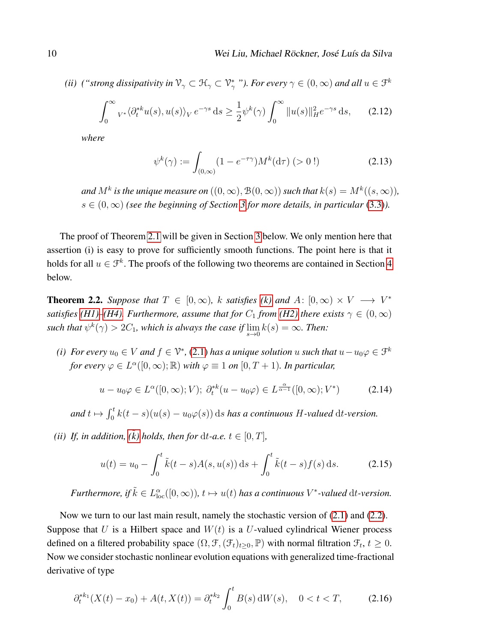*(ii) (*"strong dissipativity in  $\mathcal{V}_\gamma \subset \mathcal{H}_\gamma \subset \mathcal{V}_\gamma^*$ "). For every  $\gamma \in (0,\infty)$  and all  $u \in \mathcal{F}^k$ 

$$
\int_0^\infty v^* \langle \partial_t^{*k} u(s), u(s) \rangle_V e^{-\gamma s} ds \ge \frac{1}{2} \psi^k(\gamma) \int_0^\infty \|u(s)\|_H^2 e^{-\gamma s} ds, \qquad (2.12)
$$

*where*

<span id="page-9-2"></span><span id="page-9-1"></span>
$$
\psi^k(\gamma) := \int_{(0,\infty)} (1 - e^{-\tau \gamma}) M^k(\mathrm{d}\tau) \; (> 0 \, !)
$$
 (2.13)

and  $M^k$  is the unique measure on  $((0, \infty), \mathcal{B}(0, \infty))$  such that  $k(s) = M^k((s, \infty))$ , s ∈ (0,∞) *(see the beginning of Section [3](#page-11-2) for more details, in particular* [\(3.3\)](#page-11-4)*).*

The proof of Theorem [2.1](#page-8-0) will be given in Section [3](#page-11-2) below. We only mention here that assertion (i) is easy to prove for sufficiently smooth functions. The point here is that it holds for all  $u \in \mathcal{F}^k$ . The proofs of the following two theorems are contained in Section [4](#page-17-0) below.

<span id="page-9-0"></span>**Theorem 2.2.** *Suppose that*  $T \in [0, \infty)$ *,* k *satisfies* [\(k\)](#page-6-4) and  $A: [0, \infty) \times V \longrightarrow V^*$ *satisfies* (*H1*)–*(H4*). *Furthermore, assume that for*  $C_1$  *from* (*H2*) *there exists*  $\gamma \in (0, \infty)$ such that  $\psi^k(\gamma) > 2C_1$ , which is always the case if  $\lim_{s\to 0} k(s) = \infty$ . Then:

*(i)* For every  $u_0 \in V$  and  $f \in V^*$ , [\(2.1\)](#page-6-5) has a unique solution u such that  $u - u_0 \varphi \in \mathcal{F}^k$ *for every*  $\varphi \in L^{\alpha}([0,\infty);\mathbb{R})$  *with*  $\varphi \equiv 1$  *on*  $[0,T+1)$ *. In particular,* 

<span id="page-9-4"></span>
$$
u - u_0 \varphi \in L^{\alpha}([0, \infty); V); \ \partial_t^{*k} (u - u_0 \varphi) \in L^{\frac{\alpha}{\alpha - 1}}([0, \infty); V^*)
$$
 (2.14)

and  $t \mapsto \int_0^t k(t-s)(u(s) - u_0\varphi(s)) ds$  *has a continuous* H-valued dt-version.

*(ii) If, in addition,*  $(\tilde{k})$  *holds, then for dt-a.e.*  $t \in [0, T]$ *,* 

<span id="page-9-5"></span>
$$
u(t) = u_0 - \int_0^t \tilde{k}(t-s)A(s, u(s)) ds + \int_0^t \tilde{k}(t-s)f(s) ds.
$$
 (2.15)

*Furthermore, if*  $\tilde{k} \in L^{\alpha}_{loc}([0,\infty))$ ,  $t \mapsto u(t)$  *has a continuous*  $V^*$ -valued  $dt$ -version.

Now we turn to our last main result, namely the stochastic version of [\(2.1\)](#page-6-5) and [\(2.2\)](#page-6-1). Suppose that U is a Hilbert space and  $W(t)$  is a U-valued cylindrical Wiener process defined on a filtered probability space  $(\Omega, \mathcal{F}, (\mathcal{F}_t)_{t\geq 0}, \mathbb{P})$  with normal filtration  $\mathcal{F}_t, t \geq 0$ . Now we consider stochastic nonlinear evolution equations with generalized time-fractional derivative of type

<span id="page-9-3"></span>
$$
\partial_t^{*k_1}(X(t) - x_0) + A(t, X(t)) = \partial_t^{*k_2} \int_0^t B(s) \, dW(s), \quad 0 < t < T,\tag{2.16}
$$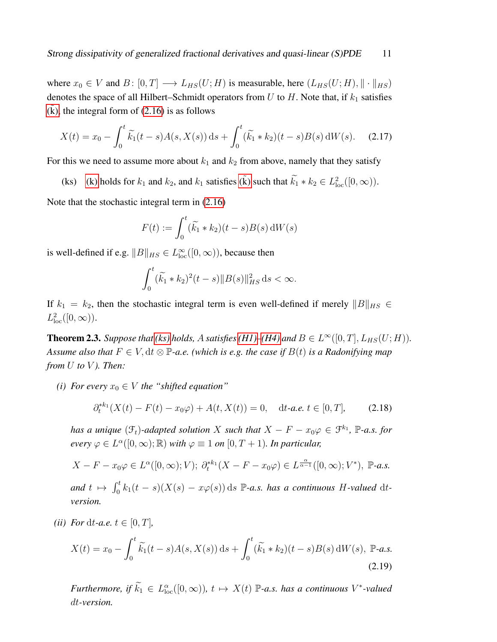where  $x_0 \in V$  and  $B: [0, T] \longrightarrow L_{HS}(U; H)$  is measurable, here  $(L_{HS}(U; H), || \cdot ||_{HS})$ denotes the space of all Hilbert–Schmidt operators from  $U$  to  $H$ . Note that, if  $k_1$  satisfies  $(k)$ , the integral form of  $(2.16)$  is as follows

$$
X(t) = x_0 - \int_0^t \widetilde{k_1}(t - s)A(s, X(s)) ds + \int_0^t (\widetilde{k_1} * k_2)(t - s)B(s) dW(s).
$$
 (2.17)

For this we need to assume more about  $k_1$  and  $k_2$  from above, namely that they satisfy

<span id="page-10-1"></span>(ks) [\(k\)](#page-6-4) holds for  $k_1$  and  $k_2$ , and  $k_1$  satisfies ( $\tilde{k}$ ) such that  $\tilde{k}_1 * k_2 \in L^2_{loc}([0, \infty))$ .

Note that the stochastic integral term in [\(2.16\)](#page-9-3)

$$
F(t) := \int_0^t (\widetilde{k}_1 * k_2)(t - s)B(s) dW(s)
$$

is well-defined if e.g.  $||B||_{HS} \in L^{\infty}_{loc}([0,\infty))$ , because then

$$
\int_0^t (\widetilde{k_1} * k_2)^2 (t - s) \|B(s)\|_{HS}^2 ds < \infty.
$$

If  $k_1 = k_2$ , then the stochastic integral term is even well-defined if merely  $||B||_{HS} \in$  $L^2_{\text{loc}}([0,\infty)).$ 

<span id="page-10-0"></span>**Theorem 2.3.** Suppose that [\(ks\)](#page-10-1) holds, A satisfies [\(H1\)](#page-6-0)[–\(H4\)](#page-7-0) and  $B \in L^{\infty}([0, T], L_{HS}(U; H))$ . *Assume also that*  $F \in V$ ,  $dt \otimes \mathbb{P}$ -*a.e.* (which is e.g. the case if  $B(t)$  is a Radonifying map *from* U *to* V *). Then:*

*(i) For every*  $x_0 \in V$  *the "shifted equation"* 

$$
\partial_t^{*k_1}(X(t) - F(t) - x_0\varphi) + A(t, X(t)) = 0, \quad dt\text{-}a.e. \ t \in [0, T], \tag{2.18}
$$

*has a unique*  $(\mathcal{F}_t)$ -adapted solution X such that  $X - F - x_0\varphi \in \mathcal{F}^{k_1}$ ,  $\mathbb{P}\text{-}a.s.$  for *every*  $\varphi \in L^{\alpha}([0,\infty);\mathbb{R})$  *with*  $\varphi \equiv 1$  *on*  $[0,T+1)$ *. In particular,* 

$$
X - F - x_0 \varphi \in L^{\alpha}([0, \infty); V); \ \partial_t^{*k_1}(X - F - x_0 \varphi) \in L^{\frac{\alpha}{\alpha - 1}}([0, \infty); V^*), \ \mathbb{P}\text{-}a.s.
$$
  
and  $t \mapsto \int_0^t k_1(t - s)(X(s) - x\varphi(s)) ds \ \mathbb{P}\text{-}a.s.$  has a continuous *H*-valued dt-  
version.

*(ii) For* dt-a.e.  $t \in [0, T]$ *,* 

$$
X(t) = x_0 - \int_0^t \widetilde{k_1}(t-s)A(s,X(s))\,\mathrm{d}s + \int_0^t (\widetilde{k_1} * k_2)(t-s)B(s)\,\mathrm{d}W(s),\,\mathbb{P}\text{-}a.s.\tag{2.19}
$$

*Furthermore, if*  $\widetilde{k}_1 \in L^{\alpha}_{loc}([0,\infty))$ ,  $t \mapsto X(t)$  P-a.s. has a continuous V<sup>\*</sup>-valued dt*-version.*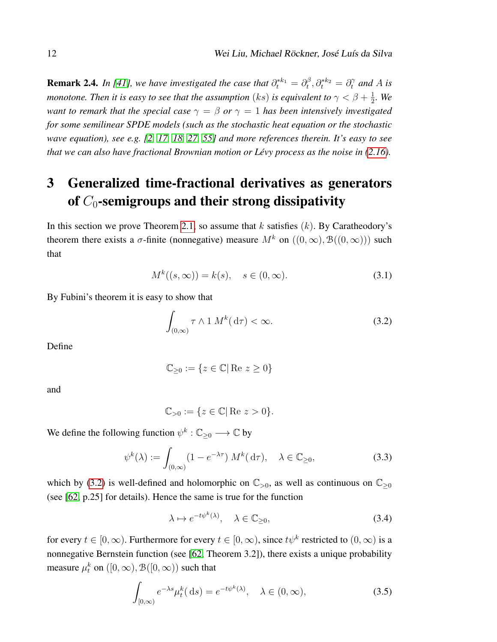**Remark 2.4.** In [\[41\]](#page-31-0), we have investigated the case that  $\partial_t^{*k_1} = \partial_t^{\beta}$  $\partial_t^{\beta}, \partial_t^{*k_2} = \partial_t^{\gamma}$  and A is *monotone. Then it is easy to see that the assumption*  $(ks)$  *is equivalent to*  $\gamma < \beta + \frac{1}{2}$  $\frac{1}{2}$ *.* We *want to remark that the special case*  $\gamma = \beta$  *or*  $\gamma = 1$  *has been intensively investigated for some semilinear SPDE models (such as the stochastic heat equation or the stochastic wave equation), see e.g. [\[2,](#page-29-7) [17,](#page-30-12) [18,](#page-30-10) [27,](#page-30-9) [55\]](#page-32-11) and more references therein. It's easy to see that we can also have fractional Brownian motion or Lévy process as the noise in [\(2.16\)](#page-9-3).* 

## <span id="page-11-2"></span>3 Generalized time-fractional derivatives as generators of  $C_0$ -semigroups and their strong dissipativity

In this section we prove Theorem [2.1,](#page-8-0) so assume that k satisfies  $(k)$ . By Caratheodory's theorem there exists a  $\sigma$ -finite (nonnegative) measure  $M^k$  on  $((0,\infty), \mathcal{B}((0,\infty)))$  such that

$$
M^k((s,\infty)) = k(s), \quad s \in (0,\infty). \tag{3.1}
$$

By Fubini's theorem it is easy to show that

<span id="page-11-5"></span><span id="page-11-0"></span>
$$
\int_{(0,\infty)} \tau \wedge 1 \, M^k(\,\mathrm{d}\tau) < \infty. \tag{3.2}
$$

Define

$$
\mathbb{C}_{\geq 0} := \{ z \in \mathbb{C} | \operatorname{Re} z \geq 0 \}
$$

and

<span id="page-11-4"></span>
$$
\mathbb{C}_{>0} := \{ z \in \mathbb{C} | \text{Re } z > 0 \}.
$$

We define the following function  $\psi^k : \mathbb{C}_{\geq 0} \longrightarrow \mathbb{C}$  by

$$
\psi^k(\lambda) := \int_{(0,\infty)} (1 - e^{-\lambda \tau}) M^k(\,\mathrm{d}\tau), \quad \lambda \in \mathbb{C}_{\geq 0},\tag{3.3}
$$

which by [\(3.2\)](#page-11-0) is well-defined and holomorphic on  $\mathbb{C}_{>0}$ , as well as continuous on  $\mathbb{C}_{>0}$ (see [\[62,](#page-33-7) p.25] for details). Hence the same is true for the function

<span id="page-11-3"></span><span id="page-11-1"></span>
$$
\lambda \mapsto e^{-t\psi^k(\lambda)}, \quad \lambda \in \mathbb{C}_{\geq 0},\tag{3.4}
$$

for every  $t \in [0, \infty)$ . Furthermore for every  $t \in [0, \infty)$ , since  $t\psi^k$  restricted to  $(0, \infty)$  is a nonnegative Bernstein function (see [\[62,](#page-33-7) Theorem 3.2]), there exists a unique probability measure  $\mu^k_t$  on  $([0,\infty),$   $\mathcal{B}([0,\infty))$  such that

$$
\int_{[0,\infty)} e^{-\lambda s} \mu_t^k(\,\mathrm{d}s) = e^{-t\psi^k(\lambda)}, \quad \lambda \in (0,\infty),\tag{3.5}
$$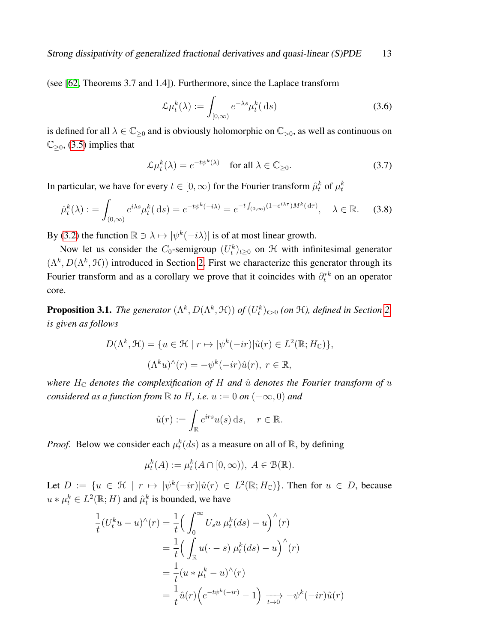(see [\[62,](#page-33-7) Theorems 3.7 and 1.4]). Furthermore, since the Laplace transform

<span id="page-12-1"></span>
$$
\mathcal{L}\mu_t^k(\lambda) := \int_{[0,\infty)} e^{-\lambda s} \mu_t^k(\,\mathrm{d}s) \tag{3.6}
$$

is defined for all  $\lambda \in \mathbb{C}_{\geq 0}$  and is obviously holomorphic on  $\mathbb{C}_{>0}$ , as well as continuous on  $\mathbb{C}_{\geq 0}$ , [\(3.5\)](#page-11-3) implies that

$$
\mathcal{L}\mu_t^k(\lambda) = e^{-t\psi^k(\lambda)} \quad \text{for all } \lambda \in \mathbb{C}_{\geq 0}.\tag{3.7}
$$

In particular, we have for every  $t\in [0,\infty)$  for the Fourier transform  $\hat{\mu}_t^k$  of  $\mu_t^k$ 

$$
\hat{\mu}_t^k(\lambda) := \int_{(0,\infty)} e^{i\lambda s} \mu_t^k(\,\mathrm{d}s) = e^{-t\psi^k(-i\lambda)} = e^{-t \int_{(0,\infty)} (1 - e^{i\lambda \tau}) M^k(\,\mathrm{d}\tau)}, \quad \lambda \in \mathbb{R}.\tag{3.8}
$$

By [\(3.2\)](#page-11-0) the function  $\mathbb{R} \ni \lambda \mapsto |\psi^k(-i\lambda)|$  is of at most linear growth.

Now let us consider the  $C_0$ -semigroup  $(U_t^k)_{t\geq 0}$  on  $\mathcal H$  with infinitesimal generator  $(\Lambda^k, D(\Lambda^k, \mathcal{H}))$  introduced in Section [2.](#page-5-0) First we characterize this generator through its Fourier transform and as a corollary we prove that it coincides with  $\partial_t^*$  on an operator core.

<span id="page-12-0"></span>**Proposition 3.1.** *The generator*  $(\Lambda^k, D(\Lambda^k, \mathcal{H}))$  *of*  $(U_t^k)_{t>0}$  (*on*  $\mathcal{H}$ *), defined in Section [2,](#page-5-0) is given as follows*

$$
D(\Lambda^k, \mathcal{H}) = \{ u \in \mathcal{H} \mid r \mapsto |\psi^k(-ir)| \hat{u}(r) \in L^2(\mathbb{R}; H_{\mathbb{C}}) \},
$$
  

$$
(\Lambda^k u)^\wedge(r) = -\psi^k(-ir)\hat{u}(r), \ r \in \mathbb{R},
$$

*where*  $H_{\mathbb{C}}$  *denotes the complexification of* H *and*  $\hat{u}$  *denotes the Fourier transform of*  $u$ *considered as a function from*  $\mathbb R$  *to*  $H$ *, i.e.*  $u := 0$  *on*  $(-\infty, 0)$  *and* 

$$
\hat{u}(r) := \int_{\mathbb{R}} e^{irs} u(s) \, \mathrm{d}s, \quad r \in \mathbb{R}.
$$

*Proof.* Below we consider each  $\mu_t^k(ds)$  as a measure on all of  $\mathbb{R}$ , by defining

$$
\mu_t^k(A) := \mu_t^k(A \cap [0, \infty)), \ A \in \mathcal{B}(\mathbb{R}).
$$

Let  $D := \{ u \in \mathcal{H} \mid r \mapsto |\psi^k(-ir)| \hat{u}(r) \in L^2(\mathbb{R}; H_{\mathbb{C}}) \}.$  Then for  $u \in D$ , because  $u * \mu_t^k \in L^2(\mathbb{R}; H)$  and  $\hat{\mu}_t^k$  is bounded, we have

$$
\frac{1}{t}(U_t^k u - u)^\wedge(r) = \frac{1}{t} \Big( \int_0^\infty U_s u \,\mu_t^k(ds) - u \Big)^\wedge(r)
$$
  
\n
$$
= \frac{1}{t} \Big( \int_{\mathbb{R}} u(\cdot - s) \,\mu_t^k(ds) - u \Big)^\wedge(r)
$$
  
\n
$$
= \frac{1}{t} (u * \mu_t^k - u)^\wedge(r)
$$
  
\n
$$
= \frac{1}{t} \hat{u}(r) \Big( e^{-t\psi^k(-ir)} - 1 \Big) \xrightarrow[t \to 0]{} - \psi^k(-ir)\hat{u}(r)
$$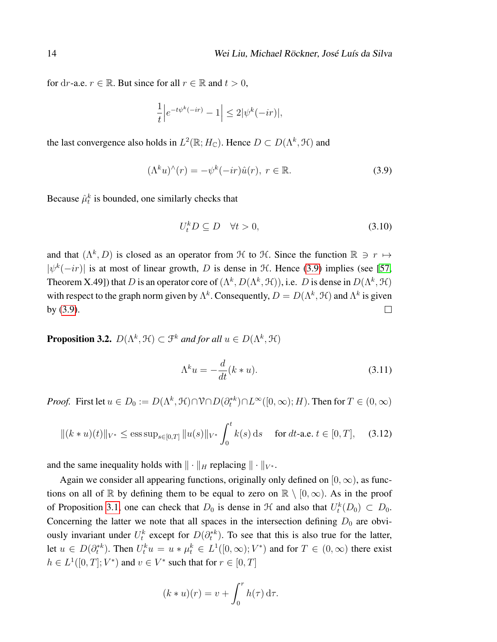for dr-a.e.  $r \in \mathbb{R}$ . But since for all  $r \in \mathbb{R}$  and  $t > 0$ ,

$$
\frac{1}{t} \Big| e^{-t\psi^k(-ir)} - 1 \Big| \le 2|\psi^k(-ir)|,
$$

the last convergence also holds in  $L^2(\mathbb{R}; H_{\mathbb{C}})$ . Hence  $D \subset D(\Lambda^k, \mathcal{H})$  and

<span id="page-13-1"></span>
$$
(\Lambda^k u)^\wedge(r) = -\psi^k(-ir)\hat{u}(r), \ r \in \mathbb{R}.\tag{3.9}
$$

Because  $\hat{\mu}_t^k$  is bounded, one similarly checks that

$$
U_t^k D \subseteq D \quad \forall t > 0,\tag{3.10}
$$

and that  $(\Lambda^k, D)$  is closed as an operator from  $\mathcal H$  to  $\mathcal H$ . Since the function  $\mathbb R \ni r \mapsto$  $|\psi^{k}(-ir)|$  is at most of linear growth, D is dense in H. Hence [\(3.9\)](#page-13-1) implies (see [\[57,](#page-33-8) Theorem X.49]) that D is an operator core of  $(\Lambda^k, D(\Lambda^k, \mathcal{H}))$ , i.e. D is dense in  $D(\Lambda^k, \mathcal{H})$ with respect to the graph norm given by  $\Lambda^k$ . Consequently,  $D = D(\Lambda^k, \mathcal{H})$  and  $\Lambda^k$  is given by [\(3.9\)](#page-13-1).  $\Box$ 

<span id="page-13-0"></span>**Proposition 3.2.**  $D(\Lambda^k, \mathcal{H}) \subset \mathcal{F}^k$  and for all  $u \in D(\Lambda^k, \mathcal{H})$ 

<span id="page-13-2"></span>
$$
\Lambda^k u = -\frac{d}{dt}(k * u). \tag{3.11}
$$

*Proof.* First let  $u \in D_0 := D(\Lambda^k, \mathcal{H}) \cap \mathcal{V} \cap D(\partial_t^{*k}) \cap L^{\infty}([0, \infty); H)$ . Then for  $T \in (0, \infty)$ 

<span id="page-13-3"></span>
$$
\|(k*u)(t)\|_{V^*} \le \operatorname{ess} \operatorname{sup}_{s\in[0,T]} \|u(s)\|_{V^*} \int_0^t k(s) \, \mathrm{d}s \quad \text{ for } dt\text{-a.e. } t \in [0,T], \quad (3.12)
$$

and the same inequality holds with  $\|\cdot\|_H$  replacing  $\|\cdot\|_{V^*}$ .

Again we consider all appearing functions, originally only defined on  $[0, \infty)$ , as functions on all of R by defining them to be equal to zero on  $\mathbb{R} \setminus [0,\infty)$ . As in the proof of Proposition [3.1,](#page-12-0) one can check that  $D_0$  is dense in  $\mathcal H$  and also that  $U_t^k(D_0) \subset D_0$ . Concerning the latter we note that all spaces in the intersection defining  $D_0$  are obviously invariant under  $U_t^k$  except for  $D(\partial_t^{*k})$ . To see that this is also true for the latter, let  $u \in D(\partial_t^{*k})$ . Then  $U_t^k u = u * \mu_t^k \in L^1([0,\infty); V^*)$  and for  $T \in (0,\infty)$  there exist  $h \in L^1([0,T];V^*)$  and  $v \in V^*$  such that for  $r \in [0,T]$ 

$$
(k * u)(r) = v + \int_0^r h(\tau) d\tau.
$$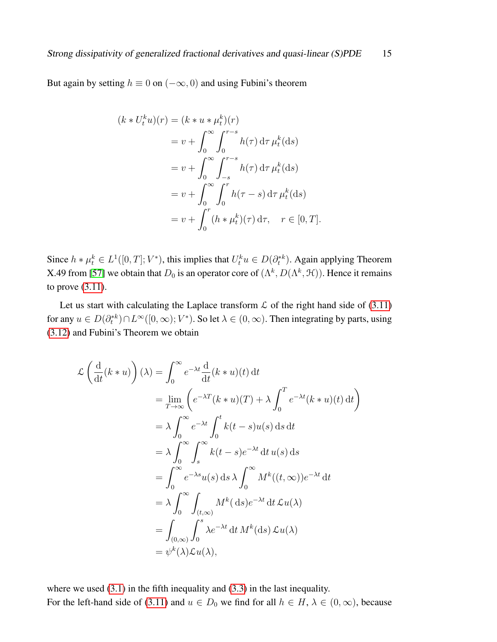But again by setting  $h \equiv 0$  on  $(-\infty, 0)$  and using Fubini's theorem

$$
(k * U_t^k u)(r) = (k * u * \mu_t^k)(r)
$$
  
=  $v + \int_0^\infty \int_0^{r-s} h(\tau) d\tau \mu_t^k(ds)$   
=  $v + \int_0^\infty \int_{-s}^{r-s} h(\tau) d\tau \mu_t^k(ds)$   
=  $v + \int_0^\infty \int_0^r h(\tau - s) d\tau \mu_t^k(ds)$   
=  $v + \int_0^r (h * \mu_t^k)(\tau) d\tau, \quad r \in [0, T].$ 

Since  $h * \mu_t^k \in L^1([0,T]; V^*)$ , this implies that  $U_t^k u \in D(\partial_t^{*k})$ . Again applying Theorem X.49 from [\[57\]](#page-33-8) we obtain that  $D_0$  is an operator core of  $(\Lambda^k, D(\Lambda^k, \mathcal{H}))$ . Hence it remains to prove [\(3.11\)](#page-13-2).

Let us start with calculating the Laplace transform  $\mathcal L$  of the right hand side of [\(3.11\)](#page-13-2) for any  $u \in D(\partial_t^{*k}) \cap L^{\infty}([0,\infty); V^*)$ . So let  $\lambda \in (0,\infty)$ . Then integrating by parts, using [\(3.12\)](#page-13-3) and Fubini's Theorem we obtain

$$
\mathcal{L}\left(\frac{d}{dt}(k*u)\right)(\lambda) = \int_0^\infty e^{-\lambda t} \frac{d}{dt}(k*u)(t) dt
$$
  
\n
$$
= \lim_{T \to \infty} \left(e^{-\lambda T}(k*u)(T) + \lambda \int_0^T e^{-\lambda t}(k*u)(t) dt\right)
$$
  
\n
$$
= \lambda \int_0^\infty e^{-\lambda t} \int_0^t k(t-s)u(s) ds dt
$$
  
\n
$$
= \lambda \int_0^\infty \int_s^\infty k(t-s)e^{-\lambda t} dt u(s) ds
$$
  
\n
$$
= \int_0^\infty e^{-\lambda s}u(s) ds \lambda \int_0^\infty M^k((t,\infty))e^{-\lambda t} dt
$$
  
\n
$$
= \lambda \int_0^\infty \int_{(t,\infty)} M^k(ds)e^{-\lambda t} dt \mathcal{L}u(\lambda)
$$
  
\n
$$
= \int_{(0,\infty)} \int_0^s \lambda e^{-\lambda t} dt M^k(ds) \mathcal{L}u(\lambda)
$$
  
\n
$$
= \psi^k(\lambda)\mathcal{L}u(\lambda),
$$

where we used  $(3.1)$  in the fifth inequality and  $(3.3)$  in the last inequality. For the left-hand side of [\(3.11\)](#page-13-2) and  $u \in D_0$  we find for all  $h \in H$ ,  $\lambda \in (0, \infty)$ , because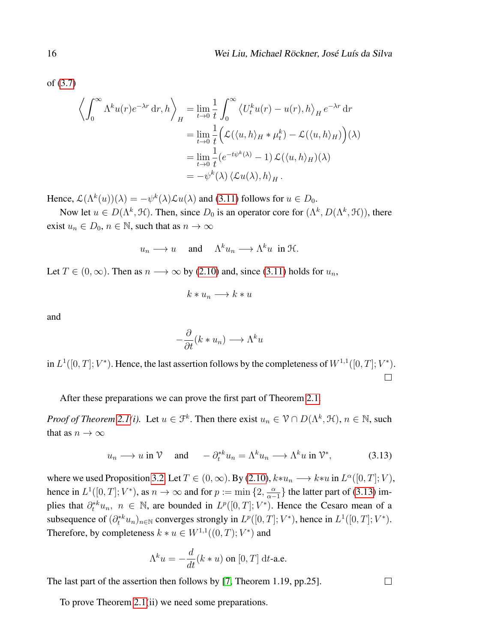of [\(3.7\)](#page-12-1)

$$
\left\langle \int_0^\infty \Lambda^k u(r) e^{-\lambda r} \, dr, h \right\rangle_H = \lim_{t \to 0} \frac{1}{t} \int_0^\infty \left\langle U_t^k u(r) - u(r), h \right\rangle_H e^{-\lambda r} \, dr
$$
  
\n
$$
= \lim_{t \to 0} \frac{1}{t} \left( \mathcal{L}(\langle u, h \rangle_H * \mu_t^k) - \mathcal{L}(\langle u, h \rangle_H) \right) (\lambda)
$$
  
\n
$$
= \lim_{t \to 0} \frac{1}{t} (e^{-t\psi^k(\lambda)} - 1) \mathcal{L}(\langle u, h \rangle_H)(\lambda)
$$
  
\n
$$
= -\psi^k(\lambda) \left\langle \mathcal{L}u(\lambda), h \right\rangle_H.
$$

Hence,  $\mathcal{L}(\Lambda^k(u))(\lambda) = -\psi^k(\lambda)\mathcal{L}u(\lambda)$  and [\(3.11\)](#page-13-2) follows for  $u \in D_0$ .

Now let  $u \in D(\Lambda^k, \mathcal{H})$ . Then, since  $D_0$  is an operator core for  $(\Lambda^k, D(\Lambda^k, \mathcal{H}))$ , there exist  $u_n \in D_0$ ,  $n \in \mathbb{N}$ , such that as  $n \to \infty$ 

$$
u_n \longrightarrow u
$$
 and  $\Lambda^k u_n \longrightarrow \Lambda^k u$  in H.

Let  $T \in (0, \infty)$ . Then as  $n \longrightarrow \infty$  by [\(2.10\)](#page-8-1) and, since [\(3.11\)](#page-13-2) holds for  $u_n$ ,

$$
k * u_n \longrightarrow k * u
$$

and

$$
-\frac{\partial}{\partial t}(k * u_n) \longrightarrow \Lambda^k u
$$

in  $L^1([0,T]; V^*)$ . Hence, the last assertion follows by the completeness of  $W^{1,1}([0,T]; V^*)$ .  $\Box$ 

After these preparations we can prove the first part of Theorem [2.1.](#page-8-0)

*Proof of Theorem [2.1\(](#page-8-0)i).* Let  $u \in \mathcal{F}^k$ . Then there exist  $u_n \in \mathcal{V} \cap D(\Lambda^k, \mathcal{H})$ ,  $n \in \mathbb{N}$ , such that as  $n \to \infty$ 

$$
u_n \longrightarrow u \text{ in } \mathcal{V} \quad \text{ and } \quad -\partial_t^{*k} u_n = \Lambda^k u_n \longrightarrow \Lambda^k u \text{ in } \mathcal{V}^*, \tag{3.13}
$$

<span id="page-15-0"></span> $\Box$ 

where we used Proposition [3.2.](#page-13-0) Let  $T \in (0, \infty)$ . By [\(2.10\)](#page-8-1),  $k * u_n \longrightarrow k * u$  in  $L^{\alpha}([0, T]; V)$ , hence in  $L^1([0,T]; V^*)$ , as  $n \to \infty$  and for  $p := \min\{2, \frac{\alpha}{\alpha - 1}\}$  $\frac{\alpha}{\alpha-1}$ } the latter part of [\(3.13\)](#page-15-0) implies that  $\partial_t^{*k}u_n$ ,  $n \in \mathbb{N}$ , are bounded in  $L^p([0,T];V^*)$ . Hence the Cesaro mean of a subsequence of  $(\partial_t^{*k} u_n)_{n \in \mathbb{N}}$  converges strongly in  $L^p([0,T]; V^*)$ , hence in  $L^1([0,T]; V^*)$ . Therefore, by completeness  $k * u \in W^{1,1}((0,T); V^*)$  and

$$
\Lambda^k u = -\frac{d}{dt}(k * u) \text{ on } [0, T] \text{ dt-a.e.}
$$

The last part of the assertion then follows by [\[7,](#page-29-8) Theorem 1.19, pp.25].

To prove Theorem [2.1\(](#page-8-0)ii) we need some preparations.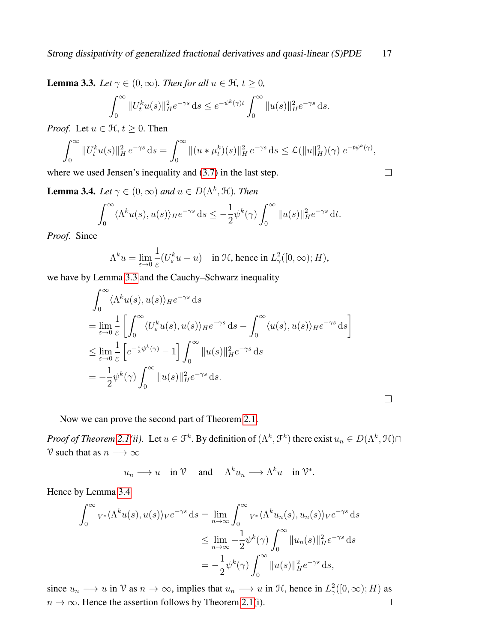<span id="page-16-0"></span>**Lemma 3.3.** *Let*  $\gamma \in (0, \infty)$ *. Then for all*  $u \in \mathcal{H}$ *, t*  $\geq 0$ *,* 

$$
\int_0^{\infty} \|U_t^k u(s)\|_H^2 e^{-\gamma s} ds \le e^{-\psi^k(\gamma)t} \int_0^{\infty} \|u(s)\|_H^2 e^{-\gamma s} ds.
$$

*Proof.* Let  $u \in \mathcal{H}$ ,  $t \geq 0$ . Then

$$
\int_0^\infty \|U_t^k u(s)\|_H^2 e^{-\gamma s} ds = \int_0^\infty \|(u * \mu_t^k)(s)\|_H^2 e^{-\gamma s} ds \leq \mathcal{L}(\|u\|_H^2)(\gamma) e^{-t\psi^k(\gamma)},
$$

where we used Jensen's inequality and [\(3.7\)](#page-12-1) in the last step.

<span id="page-16-1"></span>**Lemma 3.4.** *Let*  $\gamma \in (0, \infty)$  *and*  $u \in D(\Lambda^k, \mathcal{H})$ *. Then* 

$$
\int_0^\infty \langle \Lambda^k u(s), u(s) \rangle_H e^{-\gamma s} ds \le -\frac{1}{2} \psi^k(\gamma) \int_0^\infty \|u(s)\|_H^2 e^{-\gamma s} dt.
$$

*Proof.* Since

$$
\Lambda^k u = \lim_{\varepsilon \to 0} \frac{1}{\varepsilon} (U^k_\varepsilon u - u) \quad \text{in } \mathcal{H}, \text{ hence in } L^2_\gamma([0, \infty); H),
$$

we have by Lemma [3.3](#page-16-0) and the Cauchy–Schwarz inequality

$$
\int_0^\infty \langle \Lambda^k u(s), u(s) \rangle_H e^{-\gamma s} ds
$$
  
= 
$$
\lim_{\varepsilon \to 0} \frac{1}{\varepsilon} \left[ \int_0^\infty \langle U^k_\varepsilon u(s), u(s) \rangle_H e^{-\gamma s} ds - \int_0^\infty \langle u(s), u(s) \rangle_H e^{-\gamma s} ds \right]
$$
  

$$
\leq \lim_{\varepsilon \to 0} \frac{1}{\varepsilon} \left[ e^{-\frac{\varepsilon}{2} \psi^k(\gamma)} - 1 \right] \int_0^\infty ||u(s)||_H^2 e^{-\gamma s} ds
$$
  
= 
$$
-\frac{1}{2} \psi^k(\gamma) \int_0^\infty ||u(s)||_H^2 e^{-\gamma s} ds.
$$

Now we can prove the second part of Theorem [2.1.](#page-8-0)

*Proof of Theorem [2.1\(](#page-8-0)ii).* Let  $u \in \mathcal{F}^k$ . By definition of  $(\Lambda^k, \mathcal{F}^k)$  there exist  $u_n \in D(\Lambda^k, \mathcal{H}) \cap$ V such that as  $n \longrightarrow \infty$ 

$$
u_n \longrightarrow u
$$
 in  $\mathcal{V}$  and  $\Lambda^k u_n \longrightarrow \Lambda^k u$  in  $\mathcal{V}^*$ .

Hence by Lemma [3.4](#page-16-1)

$$
\int_0^\infty v^* \langle \Lambda^k u(s), u(s) \rangle_V e^{-\gamma s} ds = \lim_{n \to \infty} \int_0^\infty v^* \langle \Lambda^k u_n(s), u_n(s) \rangle_V e^{-\gamma s} ds
$$
  

$$
\leq \lim_{n \to \infty} -\frac{1}{2} \psi^k(\gamma) \int_0^\infty ||u_n(s)||_H^2 e^{-\gamma s} ds
$$
  

$$
= -\frac{1}{2} \psi^k(\gamma) \int_0^\infty ||u(s)||_H^2 e^{-\gamma s} ds,
$$

since  $u_n \to u$  in  $\mathcal V$  as  $n \to \infty$ , implies that  $u_n \to u$  in  $\mathcal H$ , hence in  $L^2_{\gamma}([0,\infty);H)$  as  $n \to \infty$ . Hence the assertion follows by Theorem [2.1\(](#page-8-0)i).  $\Box$ 

 $\Box$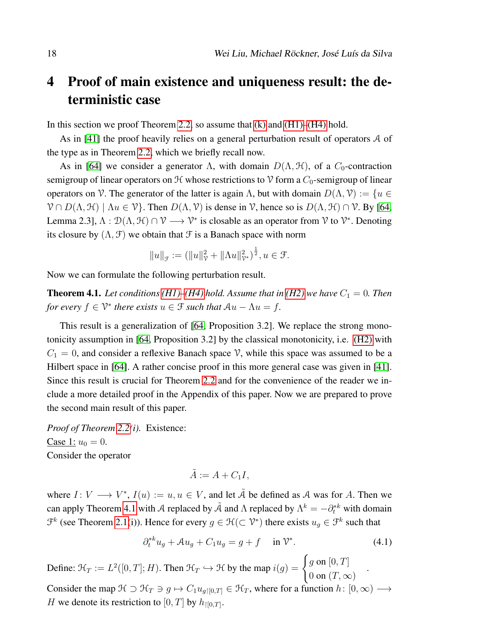## <span id="page-17-0"></span>4 Proof of main existence and uniqueness result: the deterministic case

In this section we proof Theorem [2.2,](#page-9-0) so assume that  $(k)$  and  $(H1)$ – $(H4)$  hold.

As in [\[41\]](#page-31-0) the proof heavily relies on a general perturbation result of operators A of the type as in Theorem [2.2,](#page-9-0) which we briefly recall now.

As in [\[64\]](#page-33-6) we consider a generator  $\Lambda$ , with domain  $D(\Lambda, \mathcal{H})$ , of a  $C_0$ -contraction semigroup of linear operators on  $H$  whose restrictions to  $V$  form a  $C_0$ -semigroup of linear operators on V. The generator of the latter is again  $\Lambda$ , but with domain  $D(\Lambda, \mathcal{V}) := \{u \in$  $\mathcal{V} \cap D(\Lambda, \mathcal{H}) \mid \Lambda u \in \mathcal{V}$ . Then  $D(\Lambda, \mathcal{V})$  is dense in  $\mathcal{V}$ , hence so is  $D(\Lambda, \mathcal{H}) \cap \mathcal{V}$ . By [\[64,](#page-33-6) Lemma 2.3],  $\Lambda : \mathcal{D}(\Lambda, \mathcal{H}) \cap \mathcal{V} \longrightarrow \mathcal{V}^*$  is closable as an operator from  $\mathcal{V}$  to  $\mathcal{V}^*$ . Denoting its closure by  $(\Lambda, \mathcal{F})$  we obtain that  $\mathcal{F}$  is a Banach space with norm

$$
||u||_{\mathcal{F}} := (||u||_{\mathcal{V}}^2 + ||\Lambda u||_{\mathcal{V}^*}^2)^{\frac{1}{2}}, u \in \mathcal{F}.
$$

Now we can formulate the following perturbation result.

<span id="page-17-2"></span>**Theorem 4.1.** Let conditions [\(H1\)](#page-6-0)[–\(H4\)](#page-7-0) hold. Assume that in [\(H2\)](#page-6-3) we have  $C_1 = 0$ . Then *for every*  $f \in \mathcal{V}^*$  *there exists*  $u \in \mathcal{F}$  *such that*  $Au - \Lambda u = f$ *.* 

This result is a generalization of [\[64,](#page-33-6) Proposition 3.2]. We replace the strong monotonicity assumption in [\[64,](#page-33-6) Proposition 3.2] by the classical monotonicity, i.e. [\(H2\)](#page-6-3) with  $C_1 = 0$ , and consider a reflexive Banach space V, while this space was assumed to be a Hilbert space in [\[64\]](#page-33-6). A rather concise proof in this more general case was given in [\[41\]](#page-31-0). Since this result is crucial for Theorem [2.2](#page-9-0) and for the convenience of the reader we include a more detailed proof in the Appendix of this paper. Now we are prepared to prove the second main result of this paper.

*Proof of Theorem [2.2\(](#page-9-0)i).* Existence: Case 1:  $u_0 = 0$ . Consider the operator

$$
\tilde{A} := A + C_1 I,
$$

where  $I: V \longrightarrow V^*$ ,  $I(u) := u, u \in V$ , and let  $\tilde{A}$  be defined as A was for A. Then we can apply Theorem [4.1](#page-17-2) with A replaced by  $\tilde{A}$  and  $\Lambda$  replaced by  $\Lambda^k = -\partial_t^{*k}$  with domain  $\mathcal{F}^k$  (see Theorem [2.1\(](#page-8-0)i)). Hence for every  $g \in \mathcal{H}(\subset \mathcal{V}^*)$  there exists  $u_g \in \mathcal{F}^k$  such that

<span id="page-17-1"></span>
$$
\partial_t^*{}^k u_g + \mathcal{A}u_g + C_1 u_g = g + f \quad \text{in } \mathcal{V}^*.
$$

.

Define:  $\mathcal{H}_T := L^2([0,T];H)$ . Then  $\mathcal{H}_T \hookrightarrow \mathcal{H}$  by the map  $i(g) = \begin{cases} g \text{ on } [0,T] \\ 0 & \text{if } \text{otherwise} \end{cases}$ 0 on  $(T, \infty)$ 

Consider the map  $\mathcal{H} \supset \mathcal{H}_T \ni g \mapsto C_1 u_{g[[0,T]]} \in \mathcal{H}_T$ , where for a function  $h: [0,\infty) \longrightarrow$ H we denote its restriction to  $[0, T]$  by  $h_{|[0,T]}$ .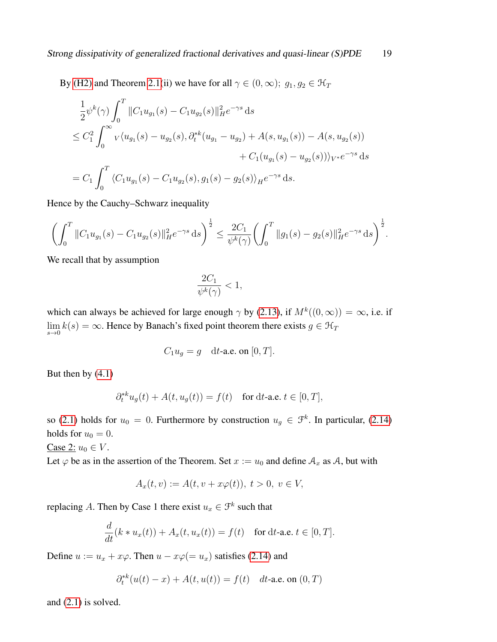By [\(H2\)](#page-6-3) and Theorem [2.1\(](#page-8-0)ii) we have for all  $\gamma \in (0, \infty)$ ;  $g_1, g_2 \in \mathcal{H}_T$ 

$$
\frac{1}{2}\psi^k(\gamma)\int_0^T \|C_1 u_{g_1}(s) - C_1 u_{g_2}(s)\|_{H}^2 e^{-\gamma s} ds
$$
\n
$$
\leq C_1^2 \int_0^\infty v \langle u_{g_1}(s) - u_{g_2}(s), \partial_t^{*k} (u_{g_1} - u_{g_2}) + A(s, u_{g_1}(s)) - A(s, u_{g_2}(s))
$$
\n
$$
+ C_1 (u_{g_1}(s) - u_{g_2}(s))\rangle_{V^*} e^{-\gamma s} ds
$$
\n
$$
= C_1 \int_0^T \langle C_1 u_{g_1}(s) - C_1 u_{g_2}(s), g_1(s) - g_2(s)\rangle_H e^{-\gamma s} ds.
$$

Hence by the Cauchy–Schwarz inequality

$$
\left(\int_0^T \|C_1 u_{g_1}(s) - C_1 u_{g_2}(s)\|_H^2 e^{-\gamma s} ds\right)^{\frac{1}{2}} \leq \frac{2C_1}{\psi^k(\gamma)} \left(\int_0^T \|g_1(s) - g_2(s)\|_H^2 e^{-\gamma s} ds\right)^{\frac{1}{2}}.
$$

We recall that by assumption

$$
\frac{2C_1}{\psi^k(\gamma)} < 1,
$$

which can always be achieved for large enough  $\gamma$  by [\(2.13\)](#page-9-2), if  $M^k((0,\infty)) = \infty$ , i.e. if  $\lim_{s\to 0} k(s) = \infty$ . Hence by Banach's fixed point theorem there exists  $g \in \mathcal{H}_T$ 

$$
C_1 u_g = g \quad \text{d}t\text{-a.e. on } [0, T].
$$

But then by  $(4.1)$ 

$$
\partial_t^{*k} u_g(t) + A(t, u_g(t)) = f(t) \quad \text{for dt-a.e. } t \in [0, T],
$$

so [\(2.1\)](#page-6-5) holds for  $u_0 = 0$ . Furthermore by construction  $u_g \in \mathcal{F}^k$ . In particular, [\(2.14\)](#page-9-4) holds for  $u_0 = 0$ .

Case 2:  $u_0 \in V$ .

Let  $\varphi$  be as in the assertion of the Theorem. Set  $x := u_0$  and define  $A_x$  as A, but with

$$
A_x(t, v) := A(t, v + x\varphi(t)), \ t > 0, \ v \in V,
$$

replacing A. Then by Case 1 there exist  $u_x \in \mathcal{F}^k$  such that

$$
\frac{d}{dt}(k * u_x(t)) + A_x(t, u_x(t)) = f(t) \quad \text{for dt-a.e. } t \in [0, T].
$$

Define  $u := u_x + x\varphi$ . Then  $u - x\varphi = u_x$  satisfies [\(2.14\)](#page-9-4) and

$$
\partial_t^{*k}(u(t)-x) + A(t, u(t)) = f(t) \quad dt\text{-a.e. on } (0, T)
$$

and [\(2.1\)](#page-6-5) is solved.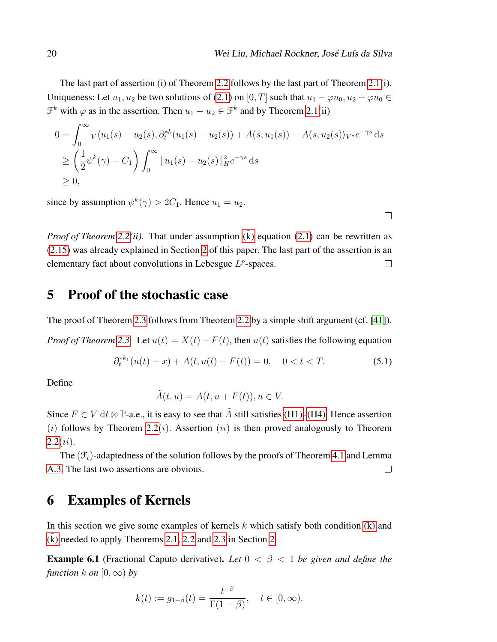The last part of assertion (i) of Theorem [2.2](#page-9-0) follows by the last part of Theorem [2.1\(](#page-8-0)i). Uniqueness: Let  $u_1, u_2$  be two solutions of [\(2.1\)](#page-6-5) on [0, T] such that  $u_1 - \varphi u_0, u_2 - \varphi u_0 \in$  $\mathcal{F}^k$  with  $\varphi$  as in the assertion. Then  $u_1 - u_2 \in \mathcal{F}^k$  and by Theorem [2.1\(](#page-8-0)ii)

$$
0 = \int_0^\infty v \langle u_1(s) - u_2(s), \partial_t^{*k} (u_1(s) - u_2(s)) + A(s, u_1(s)) - A(s, u_2(s) \rangle_{V^*} e^{-\gamma s} ds
$$
  
\n
$$
\geq \left(\frac{1}{2} \psi^k(\gamma) - C_1\right) \int_0^\infty ||u_1(s) - u_2(s)||_H^2 e^{-\gamma s} ds
$$
  
\n
$$
\geq 0,
$$

since by assumption  $\psi^k(\gamma) > 2C_1$ . Hence  $u_1 = u_2$ .

*Proof of Theorem* [2.2\(](#page-9-0)*ii*). That under assumption  $(k)$  equation [\(2.1\)](#page-6-5) can be rewritten as [\(2.15\)](#page-9-5) was already explained in Section [2](#page-5-0) of this paper. The last part of the assertion is an elementary fact about convolutions in Lebesgue  $L^p$ -spaces.  $\Box$ 

## <span id="page-19-1"></span>5 Proof of the stochastic case

The proof of Theorem [2.3](#page-10-0) follows from Theorem [2.2](#page-9-0) by a simple shift argument (cf. [\[41\]](#page-31-0)).

*Proof of Theorem [2.3.](#page-10-0)* Let  $u(t) = X(t) - F(t)$ , then  $u(t)$  satisfies the following equation

$$
\partial_t^{*k_1}(u(t) - x) + A(t, u(t) + F(t)) = 0, \quad 0 < t < T. \tag{5.1}
$$

Define

$$
\tilde{A}(t, u) = A(t, u + F(t)), u \in V.
$$

Since  $F \in V$  dt  $\otimes \mathbb{P}$ -a.e., it is easy to see that  $\tilde{A}$  still satisfies [\(H1\)–](#page-6-0)[\(H4\).](#page-7-0) Hence assertion (i) follows by Theorem [2.2](#page-9-0)(i). Assertion (ii) is then proved analogously to Theorem  $2.2(ii)$  $2.2(ii)$ .

The  $(\mathcal{F}_t)$ -adaptedness of the solution follows by the proofs of Theorem [4.1](#page-17-2) and Lemma [A.3.](#page-26-0) The last two assertions are obvious.  $\Box$ 

## <span id="page-19-0"></span>6 Examples of Kernels

In this section we give some examples of kernels  $k$  which satisfy both condition  $(k)$  and [\(k\)](#page-6-2) needed to apply Theorems  $2.1$ ,  $2.2$  and  $2.3$  in Section [2.](#page-5-0)

<span id="page-19-2"></span>**Example 6.1** (Fractional Caputo derivative). Let  $0 < \beta < 1$  be given and define the *function*  $k$  *on*  $[0, \infty)$  *by* 

$$
k(t) := g_{1-\beta}(t) = \frac{t^{-\beta}}{\Gamma(1-\beta)}, \quad t \in [0, \infty).
$$

 $\Box$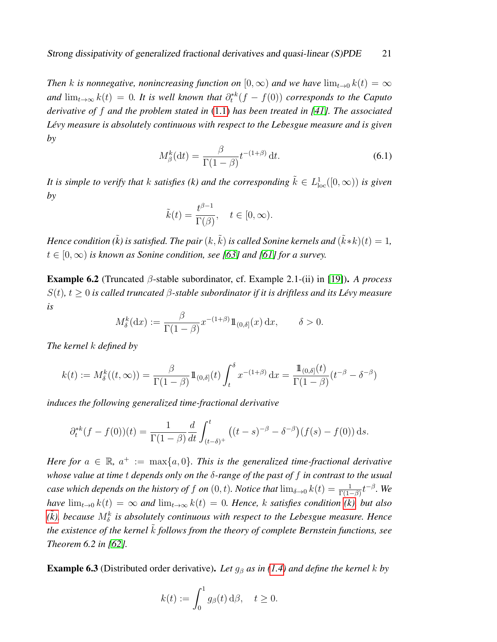*Then* k is nonnegative, nonincreasing function on  $[0, \infty)$  and we have  $\lim_{t\to 0} k(t) = \infty$ and  $\lim_{t\to\infty} k(t) = 0$ . It is well known that  $\partial_t^{*k}(f - f(0))$  corresponds to the Caputo *derivative of* f *and the problem stated in* [\(1.1\)](#page-1-0) *has been treated in [\[41\]](#page-31-0). The associated Lévy measure is absolutely continuous with respect to the Lebesgue measure and is given by*

<span id="page-20-1"></span>
$$
M_{\beta}^{k}(\mathrm{d}t) = \frac{\beta}{\Gamma(1-\beta)} t^{-(1+\beta)} \,\mathrm{d}t. \tag{6.1}
$$

It is simple to verify that  $k$  satisfies ( $k$ ) and the corresponding  $\tilde{k} \in L^1_{loc}([0,\infty))$  is given *by*

$$
\tilde{k}(t) = \frac{t^{\beta - 1}}{\Gamma(\beta)}, \quad t \in [0, \infty).
$$

*Hence condition (* $\tilde{k}$ *) is satisfied. The pair*  $(k, \tilde{k})$  *is called Sonine kernels and*  $(\tilde{k}*k)(t) = 1$ *,*  $t \in [0, \infty)$  *is known as Sonine condition, see [\[63\]](#page-33-9) and [\[61\]](#page-33-10) for a survey.* 

Example 6.2 (Truncated β-stable subordinator, cf. Example 2.1-(ii) in [\[19\]](#page-30-0)). *A process* S(t)*,* t ≥ 0 *is called truncated* β*-stable subordinator if it is driftless and its Lévy measure is*

$$
M_{\delta}^{k}(\mathrm{d}x) := \frac{\beta}{\Gamma(1-\beta)} x^{-(1+\beta)} 1\!\!1_{(0,\delta]}(x) \,\mathrm{d}x, \qquad \delta > 0.
$$

*The kernel* k *defined by*

$$
k(t) := M_{\delta}^{k}((t, \infty)) = \frac{\beta}{\Gamma(1-\beta)} 1\!\!1_{(0,\delta)}(t) \int_{t}^{\delta} x^{-(1+\beta)} dx = \frac{1\!\!1_{(0,\delta)}(t)}{\Gamma(1-\beta)} (t^{-\beta} - \delta^{-\beta})
$$

*induces the following generalized time-fractional derivative*

$$
\partial_t^{*k}(f - f(0))(t) = \frac{1}{\Gamma(1-\beta)} \frac{d}{dt} \int_{(t-\delta)^+}^t \left( (t-s)^{-\beta} - \delta^{-\beta} \right) (f(s) - f(0)) \, ds.
$$

*Here for*  $a \in \mathbb{R}$ ,  $a^+ := \max\{a, 0\}$ . This is the generalized time-fractional derivative *whose value at time* t *depends only on the* δ*-range of the past of* f *in contrast to the usual case which depends on the history of f on*  $(0,t)$ *. Notice that*  $\lim_{\delta\to 0} k(t) = \frac{1}{\Gamma(1-\beta)}t^{-\beta}$ *. We have*  $\lim_{t\to 0} k(t) = \infty$  *and*  $\lim_{t\to\infty} k(t) = 0$ *. Hence,* k *satisfies condition (k), but also*  $(\tilde{k})$ , because  $M_{\delta}^{k}$  is absolutely continuous with respect to the Lebesgue measure. Hence *the existence of the kernel k follows from the theory of complete Bernstein functions, see Theorem 6.2 in [\[62\]](#page-33-7).*

<span id="page-20-0"></span>Example 6.3 (Distributed order derivative). *Let* g<sup>β</sup> *as in [\(1.4\)](#page-1-2) and define the kernel* k *by*

$$
k(t) := \int_0^1 g_\beta(t) \, d\beta, \quad t \ge 0.
$$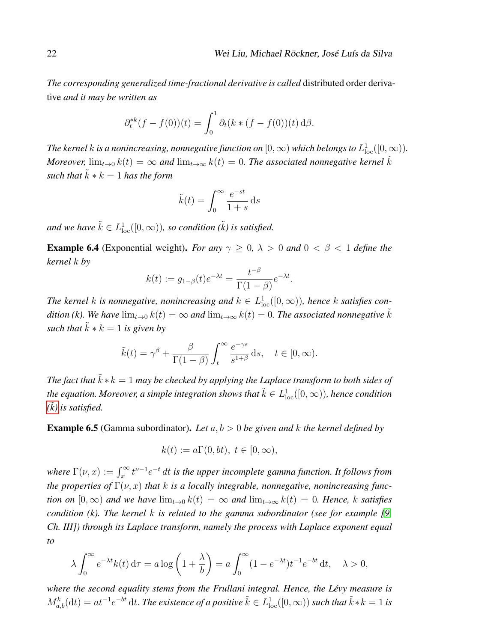*The corresponding generalized time-fractional derivative is called* distributed order derivative *and it may be written as*

$$
\partial_t^{*k}(f - f(0))(t) = \int_0^1 \partial_t (k * (f - f(0))(t) \, d\beta).
$$

The kernel  $k$  is a nonincreasing, nonnegative function on  $[0,\infty)$  which belongs to  $L^1_{\rm loc}([0,\infty)).$ *Moreover,*  $\lim_{t\to 0} k(t) = \infty$  and  $\lim_{t\to \infty} k(t) = 0$ . The associated nonnegative kernel  $\tilde{k}$ *such that*  $\tilde{k} * k = 1$  *has the form* 

$$
\tilde{k}(t) = \int_0^\infty \frac{e^{-st}}{1+s} \, \mathrm{d}s
$$

and we have  $\tilde{k} \in L^1_{\text{loc}}([0,\infty))$ *, so condition* ( $\tilde{k}$ ) is satisfied.

**Example 6.4** (Exponential weight). *For any*  $\gamma \geq 0$ ,  $\lambda > 0$  *and*  $0 < \beta < 1$  *define the kernel* k *by*

$$
k(t) := g_{1-\beta}(t)e^{-\lambda t} = \frac{t^{-\beta}}{\Gamma(1-\beta)}e^{-\lambda t}.
$$

The kernel k is nonnegative, nonincreasing and  $k \in L^1_{loc}([0,\infty))$ , hence k satisfies con*dition (k). We have*  $\lim_{t\to 0} k(t) = \infty$  *and*  $\lim_{t\to\infty} k(t) = 0$ *. The associated nonnegative*  $\tilde{k}$ *such that*  $\tilde{k} * k = 1$  *is given by* 

$$
\tilde{k}(t) = \gamma^{\beta} + \frac{\beta}{\Gamma(1-\beta)} \int_{t}^{\infty} \frac{e^{-\gamma s}}{s^{1+\beta}} ds, \quad t \in [0, \infty).
$$

*The fact that*  $\tilde{k} * k = 1$  *may be checked by applying the Laplace transform to both sides of* the equation. Moreover, a simple integration shows that  $\tilde{k}\in L^1_{\rm loc}([0,\infty))$ , hence condition  $(\tilde{k})$  is satisfied.

Example 6.5 (Gamma subordinator). *Let* a, b > 0 *be given and* k *the kernel defined by*

$$
k(t) := a\Gamma(0, bt), \ t \in [0, \infty),
$$

where  $\Gamma(\nu,x):=\int_x^\infty t^{\nu-1}e^{-t}\,dt$  is the upper incomplete gamma function. It follows from *the properties of*  $\Gamma(\nu, x)$  *that k is a locally integrable, nonnegative, nonincreasing function on*  $[0, \infty)$  *and we have*  $\lim_{t\to 0} k(t) = \infty$  *and*  $\lim_{t\to \infty} k(t) = 0$ *. Hence,* k *satisfies condition (k). The kernel k is related to the gamma subordinator (see for example [\[9,](#page-29-9)*  $\theta$ *, and in the sample sumple sumple sumple sumple sumple sumple sumple sumple sumple sumple sumple sumple sumple sumple sumple sumple Ch. III]) through its Laplace transform, namely the process with Laplace exponent equal to*

$$
\lambda \int_0^\infty e^{-\lambda t} k(t) \, \mathrm{d}\tau = a \log \left( 1 + \frac{\lambda}{b} \right) = a \int_0^\infty (1 - e^{-\lambda t}) t^{-1} e^{-bt} \, \mathrm{d}t, \quad \lambda > 0,
$$

*where the second equality stems from the Frullani integral. Hence, the Lévy measure is*  $M^k_{a,b}(\mathrm{d}t)=at^{-1}e^{-bt}\,\mathrm{d}t.$  The existence of a positive  $\tilde{k}\in L^1_\mathrm{loc}([0,\infty))$  such that  $\tilde{k}*k=1$  is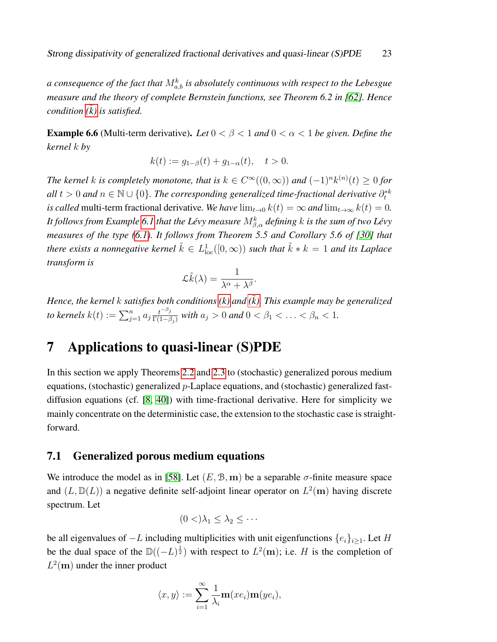a consequence of the fact that  $M_{a,b}^k$  is absolutely continuous with respect to the Lebesgue *measure and the theory of complete Bernstein functions, see Theorem 6.2 in [\[62\]](#page-33-7). Hence condition (*˜*[k\)](#page-6-2) is satisfied.*

**Example 6.6** (Multi-term derivative). *Let*  $0 < \beta < 1$  *and*  $0 < \alpha < 1$  *be given. Define the kernel* k *by*

$$
k(t) := g_{1-\beta}(t) + g_{1-\alpha}(t), \quad t > 0.
$$

*The kernel k is completely monotone, that is*  $k \in C^{\infty}((0, \infty))$  and  $(-1)^n k^{(n)}(t) \ge 0$  for  $all\ t > 0$  and  $n \in \mathbb{N} \cup \{0\}$ . The corresponding generalized time-fractional derivative  $\partial_t^{*k}$ *is called* multi-term fractional derivative. We have  $\lim_{t\to 0} k(t) = \infty$  and  $\lim_{t\to\infty} k(t) = 0$ . It follows from Example [6.1](#page-19-2) that the Lévy measure  $M^k_{\beta,\alpha}$  defining  $k$  is the sum of two Lévy *measures of the type [\(6.1\)](#page-20-1). It follows from Theorem 5.5 and Corollary 5.6 of [\[30\]](#page-31-11) that* there exists a nonnegative kernel  $\tilde{k} \in L^1_{\rm loc}([0,\infty))$  such that  $\tilde{k}*k=1$  and its Laplace *transform is*

$$
\mathcal{L}\tilde{k}(\lambda) = \frac{1}{\lambda^{\alpha} + \lambda^{\beta}}.
$$

*Hence, the kernel* k *satisfies both conditions [\(k\)](#page-6-4) and (*˜*[k\).](#page-6-2) This example may be generalized* to kernels  $k(t) := \sum_{j=1}^n a_j \frac{t^{-\beta_j}}{\Gamma(1-\beta_j)}$  $\frac{t^{-\mu}j}{\Gamma(1-\beta_j)}$  with  $a_j > 0$  and  $0 < \beta_1 < \ldots < \beta_n < 1$ .

## <span id="page-22-0"></span>7 Applications to quasi-linear (S)PDE

In this section we apply Theorems [2.2](#page-9-0) and [2.3](#page-10-0) to (stochastic) generalized porous medium equations, (stochastic) generalized p-Laplace equations, and (stochastic) generalized fastdiffusion equations (cf. [\[8,](#page-29-10) [40\]](#page-31-12)) with time-fractional derivative. Here for simplicity we mainly concentrate on the deterministic case, the extension to the stochastic case is straightforward.

#### 7.1 Generalized porous medium equations

We introduce the model as in [\[58\]](#page-33-11). Let  $(E, \mathcal{B}, \mathbf{m})$  be a separable  $\sigma$ -finite measure space and  $(L, \mathbb{D}(L))$  a negative definite self-adjoint linear operator on  $L^2(\mathbf{m})$  having discrete spectrum. Let

$$
(0 <) \lambda_1 \leq \lambda_2 \leq \cdots
$$

be all eigenvalues of  $-L$  including multiplicities with unit eigenfunctions  $\{e_i\}_{i\geq 1}$ . Let H be the dual space of the  $\mathbb{D}((-L)^{\frac{1}{2}})$  with respect to  $L^2(\mathbf{m})$ ; i.e. H is the completion of  $L^2$ (m) under the inner product

$$
\langle x, y \rangle := \sum_{i=1}^{\infty} \frac{1}{\lambda_i} \mathbf{m}(x e_i) \mathbf{m}(y e_i),
$$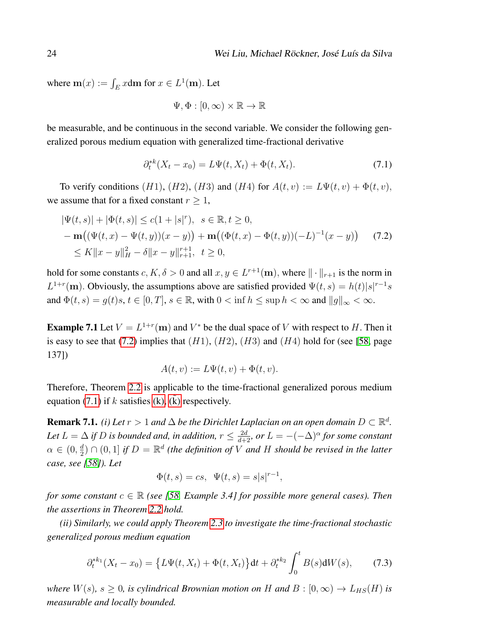where  $\mathbf{m}(x) := \int_E x \mathrm{d}\mathbf{m}$  for  $x \in L^1(\mathbf{m})$ . Let

$$
\Psi, \Phi : [0, \infty) \times \mathbb{R} \to \mathbb{R}
$$

be measurable, and be continuous in the second variable. We consider the following generalized porous medium equation with generalized time-fractional derivative

<span id="page-23-1"></span>
$$
\partial_t^{*k}(X_t - x_0) = L\Psi(t, X_t) + \Phi(t, X_t). \tag{7.1}
$$

To verify conditions (H1), (H2), (H3) and (H4) for  $A(t, v) := L\Psi(t, v) + \Phi(t, v)$ , we assume that for a fixed constant  $r \geq 1$ ,

<span id="page-23-0"></span>
$$
|\Psi(t,s)| + |\Phi(t,s)| \le c(1+|s|^r), \quad s \in \mathbb{R}, t \ge 0,
$$
  
-
$$
\mathbf{m}((\Psi(t,x) - \Psi(t,y))(x-y)) + \mathbf{m}((\Phi(t,x) - \Phi(t,y))(-L)^{-1}(x-y)) \quad (7.2)
$$
  

$$
\le K||x-y||_H^2 - \delta||x-y||_{r+1}^{r+1}, \quad t \ge 0,
$$

hold for some constants  $c, K, \delta > 0$  and all  $x, y \in L^{r+1}(\mathbf{m})$ , where  $\|\cdot\|_{r+1}$  is the norm in  $L^{1+r}$ (m). Obviously, the assumptions above are satisfied provided  $\Psi(t,s) = h(t)|s|^{r-1}s$ and  $\Phi(t, s) = g(t)s, t \in [0, T], s \in \mathbb{R}$ , with  $0 < \inf h \leq \sup h < \infty$  and  $||g||_{\infty} < \infty$ .

**Example 7.1** Let  $V = L^{1+r}(\mathbf{m})$  and  $V^*$  be the dual space of V with respect to H. Then it is easy to see that [\(7.2\)](#page-23-0) implies that  $(H1)$ ,  $(H2)$ ,  $(H3)$  and  $(H4)$  hold for (see [\[58,](#page-33-11) page 137])

$$
A(t, v) := L\Psi(t, v) + \Phi(t, v).
$$

Therefore, Theorem [2.2](#page-9-0) is applicable to the time-fractional generalized porous medium equation [\(7.1\)](#page-23-1) if k satisfies [\(k\),](#page-6-4)  $(k)$  respectively.

**Remark 7.1.** *(i)* Let  $r > 1$  and  $\Delta$  be the Dirichlet Laplacian on an open domain  $D \subset \mathbb{R}^d$ . Let  $L = \Delta$  *if* D *is bounded and, in addition,*  $r \leq \frac{2d}{d+2}$ *, or*  $L = -(-\Delta)^{\alpha}$  *for some constant*  $\alpha \in (0, \frac{d}{2})$  $\frac{d}{2}$ )  $\cap$   $(0,1]$  *if*  $D = \mathbb{R}^d$  (the definition of V and H should be revised in the latter *case, see [\[58\]](#page-33-11)). Let*

$$
\Phi(t, s) = cs, \ \Psi(t, s) = s|s|^{r-1},
$$

*for some constant*  $c \in \mathbb{R}$  *(see [\[58,](#page-33-11) Example 3.4] for possible more general cases). Then the assertions in Theorem [2.2](#page-9-0) hold.*

*(ii) Similarly, we could apply Theorem [2.3](#page-10-0) to investigate the time-fractional stochastic generalized porous medium equation*

$$
\partial_t^{*k_1}(X_t - x_0) = \left\{ L\Psi(t, X_t) + \Phi(t, X_t) \right\} dt + \partial_t^{*k_2} \int_0^t B(s) dW(s), \tag{7.3}
$$

*where*  $W(s)$ ,  $s \geq 0$ , *is cylindrical Brownian motion on* H *and*  $B : [0, \infty) \to L_{HS}(H)$  *is measurable and locally bounded.*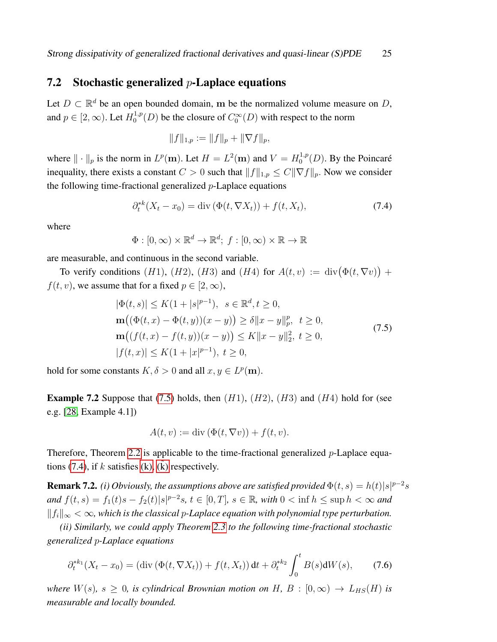### 7.2 Stochastic generalized  $p$ -Laplace equations

Let  $D \subset \mathbb{R}^d$  be an open bounded domain, m be the normalized volume measure on D, and  $p \in [2, \infty)$ . Let  $H_0^{1,p}$  $C_0^{1,p}(D)$  be the closure of  $C_0^{\infty}(D)$  with respect to the norm

$$
||f||_{1,p} := ||f||_p + ||\nabla f||_p,
$$

where  $\|\cdot\|_p$  is the norm in  $L^p(\mathbf{m})$ . Let  $H = L^2(\mathbf{m})$  and  $V = H_0^{1,p}$  $0^{1,p}(D)$ . By the Poincaré inequality, there exists a constant  $C > 0$  such that  $||f||_{1,p} \leq C||\nabla f||_p$ . Now we consider the following time-fractional generalized  $p$ -Laplace equations

<span id="page-24-1"></span>
$$
\partial_t^{*k}(X_t - x_0) = \text{div}\left(\Phi(t, \nabla X_t)\right) + f(t, X_t),\tag{7.4}
$$

where

$$
\Phi : [0, \infty) \times \mathbb{R}^d \to \mathbb{R}^d; \ f : [0, \infty) \times \mathbb{R} \to \mathbb{R}
$$

are measurable, and continuous in the second variable.

To verify conditions (H1), (H2), (H3) and (H4) for  $A(t, v) := \text{div}(\Phi(t, \nabla v)) +$  $f(t, v)$ , we assume that for a fixed  $p \in [2, \infty)$ ,

$$
|\Phi(t,s)| \le K(1+|s|^{p-1}), \quad s \in \mathbb{R}^d, t \ge 0,
$$
  
\n
$$
\mathbf{m}((\Phi(t,x) - \Phi(t,y))(x-y)) \ge \delta ||x-y||_p^p, \quad t \ge 0,
$$
  
\n
$$
\mathbf{m}((f(t,x) - f(t,y))(x-y)) \le K ||x-y||_2^2, \quad t \ge 0,
$$
  
\n
$$
|f(t,x)| \le K(1+|x|^{p-1}), \quad t \ge 0,
$$
\n(7.5)

<span id="page-24-0"></span>hold for some constants  $K, \delta > 0$  and all  $x, y \in L^p(\mathbf{m})$ .

**Example 7.2** Suppose that [\(7.5\)](#page-24-0) holds, then  $(H1)$ ,  $(H2)$ ,  $(H3)$  and  $(H4)$  hold for (see e.g. [\[28,](#page-30-13) Example 4.1])

$$
A(t, v) := \operatorname{div} (\Phi(t, \nabla v)) + f(t, v).
$$

Therefore, Theorem [2.2](#page-9-0) is applicable to the time-fractional generalized  $p$ -Laplace equa-tions [\(7.4\)](#page-24-1), if  $k$  satisfies [\(k\),](#page-6-4) [\(k\)](#page-6-2) respectively.

**Remark 7.2.** *(i)* Obviously, the assumptions above are satisfied provided  $\Phi(t,s) = h(t)|s|^{p-2}s$ *and*  $f(t, s) = f_1(t)s - f_2(t)|s|^{p-2}s$ ,  $t \in [0, T]$ ,  $s \in \mathbb{R}$ , with  $0 < \inf h \le \sup h < \infty$  and  $||f_i||_{\infty}$  < ∞, which is the classical p-Laplace equation with polynomial type perturbation.

*(ii) Similarly, we could apply Theorem [2.3](#page-10-0) to the following time-fractional stochastic generalized* p*-Laplace equations*

$$
\partial_t^{*k_1}(X_t - x_0) = (\text{div}(\Phi(t, \nabla X_t)) + f(t, X_t)) dt + \partial_t^{*k_2} \int_0^t B(s) dW(s), \tag{7.6}
$$

*where*  $W(s)$ *,*  $s \geq 0$ *, is cylindrical Brownian motion on*  $H$ *,*  $B : [0, \infty) \rightarrow L_{HS}(H)$  *is measurable and locally bounded.*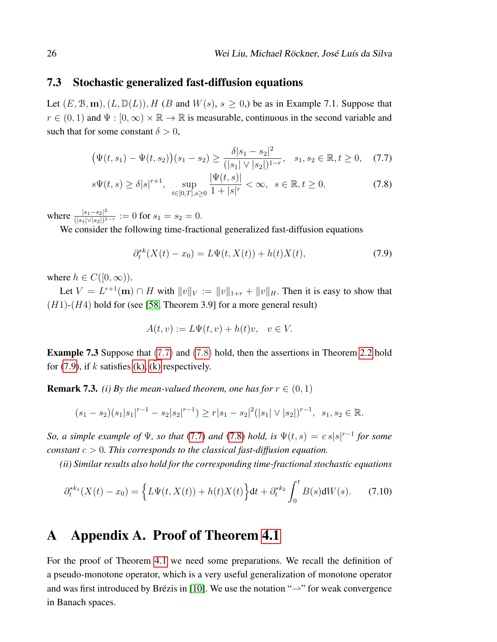### 7.3 Stochastic generalized fast-diffusion equations

Let  $(E, \mathcal{B}, \mathbf{m}), (L, \mathbb{D}(L)), H$  (B and  $W(s), s \ge 0$ ) be as in Example 7.1. Suppose that  $r \in (0, 1)$  and  $\Psi : [0, \infty) \times \mathbb{R} \to \mathbb{R}$  is measurable, continuous in the second variable and such that for some constant  $\delta > 0$ ,

<span id="page-25-0"></span>
$$
\big(\Psi(t,s_1) - \Psi(t,s_2)\big)(s_1 - s_2) \ge \frac{\delta|s_1 - s_2|^2}{(|s_1| \vee |s_2|)^{1-r}}, \quad s_1, s_2 \in \mathbb{R}, t \ge 0,\tag{7.7}
$$

$$
s\Psi(t,s) \ge \delta|s|^{r+1}, \quad \sup_{t \in [0,T], s \ge 0} \frac{|\Psi(t,s)|}{1+|s|^r} < \infty, \quad s \in \mathbb{R}, t \ge 0,\tag{7.8}
$$

where  $\frac{|s_1 - s_2|^2}{(|s_1| \vee |s_2|)^1}$  $\frac{|s_1-s_2|^2}{(|s_1|\vee|s_2|)^{1-r}}:=0$  for  $s_1=s_2=0$ .

We consider the following time-fractional generalized fast-diffusion equations

<span id="page-25-1"></span>
$$
\partial_t^{*k}(X(t) - x_0) = L\Psi(t, X(t)) + h(t)X(t),\tag{7.9}
$$

where  $h \in C([0,\infty))$ .

Let  $V = L^{r+1}(\mathbf{m}) \cap H$  with  $||v||_V := ||v||_{1+r} + ||v||_H$ . Then it is easy to show that  $(H1)-(H4)$  hold for (see [\[58,](#page-33-11) Theorem 3.9] for a more general result)

$$
A(t, v) := L\Psi(t, v) + h(t)v, \quad v \in V.
$$

Example 7.3 Suppose that [\(7](#page-25-0).7) and (7.[8\)](#page-25-0) hold, then the assertions in Theorem [2.2](#page-9-0) hold for [\(7.9\)](#page-25-1), if k satisfies [\(k\),](#page-6-4) [\(k\)](#page-6-2) respectively.

**Remark 7.3.** *(i) By the mean-valued theorem, one has for*  $r \in (0, 1)$ 

$$
(s_1 - s_2)(s_1|s_1|^{r-1} - s_2|s_2|^{r-1}) \ge r|s_1 - s_2|^2(|s_1| \vee |s_2|)^{r-1}, \ \ s_1, s_2 \in \mathbb{R}.
$$

*So, a simple example of*  $\Psi$ *, so that* [\(7.7\)](#page-25-0) *and* [\(7.8\)](#page-25-0) *hold, is*  $\Psi(t,s) = c \, s|s|^{r-1}$  *for some constant* c > 0*. This corresponds to the classical fast-diffusion equation.*

*(ii) Similar results also hold for the corresponding time-fractional stochastic equations*

$$
\partial_t^{*k_1}(X(t) - x_0) = \left\{ L\Psi(t, X(t)) + h(t)X(t) \right\} dt + \partial_t^{*k_2} \int_0^t B(s) dW(s).
$$
 (7.10)

### A Appendix A. Proof of Theorem [4.1](#page-17-2)

For the proof of Theorem [4.1](#page-17-2) we need some preparations. We recall the definition of a pseudo-monotone operator, which is a very useful generalization of monotone operator and was first introduced by Brézis in [\[10\]](#page-29-11). We use the notation " $\rightarrow$ " for weak convergence in Banach spaces.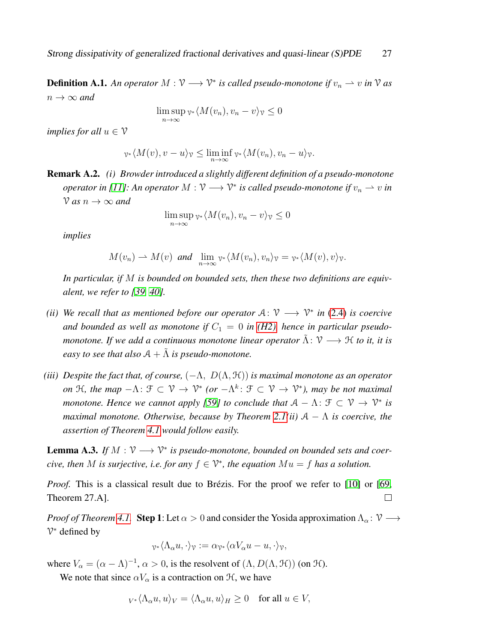**Definition A.1.** An operator  $M: V \longrightarrow V^*$  is called pseudo-monotone if  $v_n \rightharpoonup v$  in V as  $n \to \infty$  and

$$
\limsup_{n \to \infty} \nu^* \langle M(v_n), v_n - v \rangle_{\mathcal{V}} \le 0
$$

*implies for all*  $u \in V$ 

$$
\nu^* \langle M(v), v - u \rangle_v \leq \liminf_{n \to \infty} \nu^* \langle M(v_n), v_n - u \rangle_v.
$$

Remark A.2. *(i) Browder introduced a slightly different definition of a pseudo-monotone operator in [\[11\]](#page-29-12): An operator*  $M: V \longrightarrow V^*$  *is called pseudo-monotone if*  $v_n \rightharpoonup v$  *in*  $\sqrt{V}$  *as*  $n \to \infty$  *and* 

$$
\limsup_{n \to \infty} \mathbf{v} \cdot \langle M(v_n), v_n - v \rangle \mathbf{v} \le 0
$$

*implies*

$$
M(v_n) \to M(v)
$$
 and  $\lim_{n \to \infty} \gamma_* \langle M(v_n), v_n \rangle_{\mathcal{V}} = \gamma_* \langle M(v), v \rangle_{\mathcal{V}}.$ 

*In particular, if* M *is bounded on bounded sets, then these two definitions are equivalent, we refer to [\[39,](#page-31-13) [40\]](#page-31-12).*

- *(ii)* We recall that as mentioned before our operator  $A: \mathcal{V} \longrightarrow \mathcal{V}^*$  in [\(2.4\)](#page-7-4) is coercive and bounded as well as monotone if  $C_1 = 0$  in [\(H2\),](#page-6-3) hence in particular pseudo*monotone. If we add a continuous monotone linear operator*  $\tilde{\Lambda}$ :  $\mathcal{V} \longrightarrow \mathcal{H}$  *to it, it is easy to see that also*  $A + \tilde{\Lambda}$  *is pseudo-monotone.*
- *(iii) Despite the fact that, of course,*  $(-\Lambda, D(\Lambda, \mathcal{H}))$  *is maximal monotone as an operator on* H, the map  $-\Lambda$ :  $\mathcal{F} \subset \mathcal{V} \to \mathcal{V}^*$  (or  $-\Lambda^k$ :  $\mathcal{F} \subset \mathcal{V} \to \mathcal{V}^*$ ), may be not maximal *monotone. Hence we cannot apply [\[59\]](#page-33-12) to conclude that*  $A - \Lambda$ :  $\mathcal{F} \subset \mathcal{V} \to \mathcal{V}^*$  is *maximal monotone. Otherwise, because by Theorem [2.1\(](#page-8-0)ii)*  $A - \Lambda$  *is coercive, the assertion of Theorem [4.1](#page-17-2) would follow easily.*

<span id="page-26-0"></span>**Lemma A.3.** If  $M : \mathcal{V} \longrightarrow \mathcal{V}^*$  is pseudo-monotone, bounded on bounded sets and coer*cive, then* M *is surjective, i.e. for any*  $f \in \mathcal{V}^*$ , the equation  $Mu = f$  has a solution.

*Proof.* This is a classical result due to Brézis. For the proof we refer to [\[10\]](#page-29-11) or [\[69,](#page-33-13) Theorem 27.A].  $\Box$ 

*Proof of Theorem [4.1.](#page-17-2)* Step 1: Let  $\alpha > 0$  and consider the Yosida approximation  $\Lambda_{\alpha} : \mathcal{V} \longrightarrow$ V <sup>∗</sup> defined by

$$
\gamma_* \langle \Lambda_\alpha u, \cdot \rangle_{\mathcal{V}} := \alpha_{\mathcal{V}^*} \langle \alpha V_\alpha u - u, \cdot \rangle_{\mathcal{V}},
$$

where  $V_{\alpha} = (\alpha - \Lambda)^{-1}$ ,  $\alpha > 0$ , is the resolvent of  $(\Lambda, D(\Lambda, \mathcal{H}))$  (on  $\mathcal{H}$ ).

We note that since  $\alpha V_{\alpha}$  is a contraction on  $\mathcal{H}$ , we have

$$
{}_{V^*}\langle \Lambda_\alpha u, u \rangle_V = \langle \Lambda_\alpha u, u \rangle_H \ge 0 \quad \text{for all } u \in V,
$$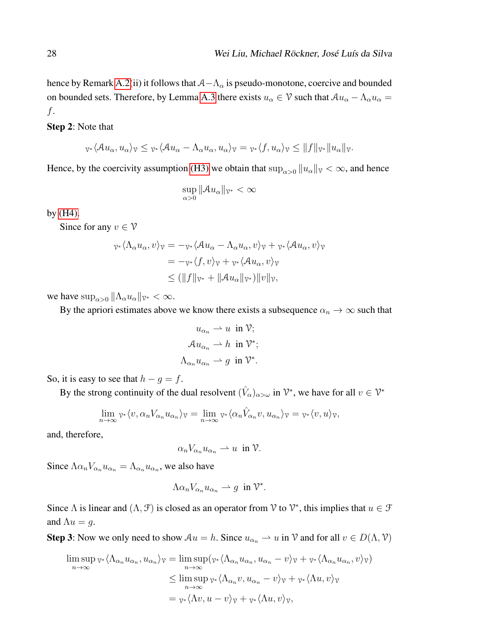hence by Remark [A.2\(](#page-0-0)ii) it follows that  $A-\Lambda_{\alpha}$  is pseudo-monotone, coercive and bounded on bounded sets. Therefore, by Lemma [A.3](#page-26-0) there exists  $u_{\alpha} \in \mathcal{V}$  such that  $Au_{\alpha} - \Lambda_{\alpha}u_{\alpha} =$ f.

#### Step 2: Note that

$$
\nu_*\langle \mathcal{A}u_{\alpha}, u_{\alpha}\rangle_{\mathcal{V}} \leq \nu_*\langle \mathcal{A}u_{\alpha} - \Lambda_{\alpha}u_{\alpha}, u_{\alpha}\rangle_{\mathcal{V}} = \nu_*\langle f, u_{\alpha}\rangle_{\mathcal{V}} \leq ||f||_{\mathcal{V}^*} ||u_{\alpha}||_{\mathcal{V}}.
$$

Hence, by the coercivity assumption [\(H3\)](#page-7-5) we obtain that  $\sup_{\alpha>0} ||u_{\alpha}||_{\gamma} < \infty$ , and hence

$$
\sup_{\alpha>0} \|\mathcal{A}u_{\alpha}\|_{\mathcal{V}^*} < \infty
$$

by [\(H4\).](#page-7-0)

Since for any  $v \in V$ 

$$
\begin{aligned} \n\gamma^* \langle \Lambda_\alpha u_\alpha, v \rangle v &= -\gamma^* \langle \mathcal{A} u_\alpha - \Lambda_\alpha u_\alpha, v \rangle v + \gamma^* \langle \mathcal{A} u_\alpha, v \rangle v \\ \n&= -\gamma^* \langle f, v \rangle v + \gamma^* \langle \mathcal{A} u_\alpha, v \rangle v \\ \n&\le (\|f\|_{\mathcal{V}^*} + \|\mathcal{A} u_\alpha\|_{\mathcal{V}^*}) \|v\|_{\mathcal{V}}, \n\end{aligned}
$$

we have  $\sup_{\alpha>0} \|\Lambda_\alpha u_\alpha\|_{\mathcal{V}^*} < \infty$ .

By the apriori estimates above we know there exists a subsequence  $\alpha_n \to \infty$  such that

$$
u_{\alpha_n} \rightharpoonup u \text{ in } \mathcal{V};
$$
  

$$
\mathcal{A}u_{\alpha_n} \rightharpoonup h \text{ in } \mathcal{V}^*;
$$
  

$$
\Lambda_{\alpha_n}u_{\alpha_n} \rightharpoonup g \text{ in } \mathcal{V}^*.
$$

So, it is easy to see that  $h - g = f$ .

By the strong continuity of the dual resolvent  $(\hat{V}_\alpha)_{\alpha>\omega}$  in  $\mathcal{V}^*$ , we have for all  $v \in \mathcal{V}^*$ 

$$
\lim_{n\to\infty} \nu^* \langle v, \alpha_n V_{\alpha_n} u_{\alpha_n} \rangle_{\mathcal{V}} = \lim_{n\to\infty} \nu^* \langle \alpha_n \hat{V}_{\alpha_n} v, u_{\alpha_n} \rangle_{\mathcal{V}} = \nu^* \langle v, u \rangle_{\mathcal{V}},
$$

and, therefore,

$$
\alpha_n V_{\alpha_n} u_{\alpha_n} \rightharpoonup u \ \text{ in } \mathcal{V}.
$$

Since  $\Lambda \alpha_n V_{\alpha_n} u_{\alpha_n} = \Lambda_{\alpha_n} u_{\alpha_n}$ , we also have

$$
\Lambda \alpha_n V_{\alpha_n} u_{\alpha_n} \rightharpoonup g \ \text{ in } \mathcal{V}^*.
$$

Since  $\Lambda$  is linear and  $(\Lambda, \mathcal{F})$  is closed as an operator from  $\mathcal{V}$  to  $\mathcal{V}^*$ , this implies that  $u \in \mathcal{F}$ and  $\Lambda u = g$ .

**Step 3:** Now we only need to show  $Au = h$ . Since  $u_{\alpha_n} \to u$  in  $\mathcal V$  and for all  $v \in D(\Lambda, \mathcal V)$ 

$$
\limsup_{n \to \infty} \gamma_* \langle \Lambda_{\alpha_n} u_{\alpha_n}, u_{\alpha_n} \rangle_{\mathcal{V}} = \limsup_{n \to \infty} (\gamma_* \langle \Lambda_{\alpha_n} u_{\alpha_n}, u_{\alpha_n} - v \rangle_{\mathcal{V}} + \gamma_* \langle \Lambda_{\alpha_n} u_{\alpha_n}, v \rangle_{\mathcal{V}})
$$
  
\n
$$
\leq \limsup_{n \to \infty} \gamma_* \langle \Lambda_{\alpha_n} v, u_{\alpha_n} - v \rangle_{\mathcal{V}} + \gamma_* \langle \Lambda u, v \rangle_{\mathcal{V}}
$$
  
\n
$$
= \gamma_* \langle \Lambda v, u - v \rangle_{\mathcal{V}} + \gamma_* \langle \Lambda u, v \rangle_{\mathcal{V}},
$$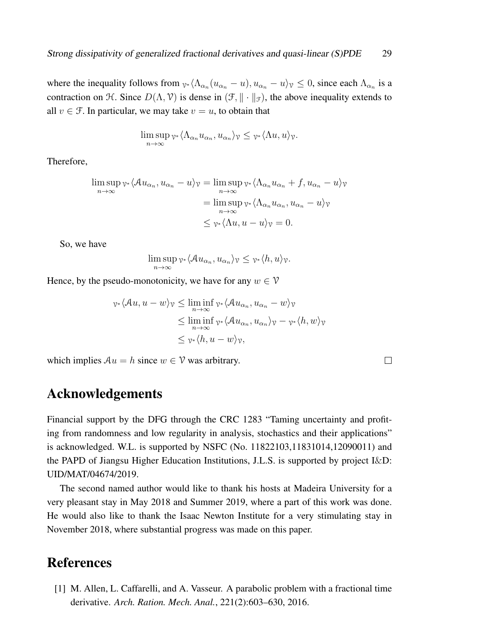where the inequality follows from  $v_1 \langle \Lambda_{\alpha_n}(u_{\alpha_n} - u), u_{\alpha_n} - u \rangle$   $\gamma \leq 0$ , since each  $\Lambda_{\alpha_n}$  is a contraction on H. Since  $D(\Lambda, \mathcal{V})$  is dense in  $(\mathcal{F}, \| \cdot \|_{\mathcal{F}})$ , the above inequality extends to all  $v \in \mathcal{F}$ . In particular, we may take  $v = u$ , to obtain that

$$
\limsup_{n\to\infty}\nu^*\langle\Lambda_{\alpha_n}u_{\alpha_n},u_{\alpha_n}\rangle_{\nu}\leq \nu^*\langle\Lambda u,u\rangle_{\nu}.
$$

Therefore,

$$
\limsup_{n \to \infty} \gamma_* \langle \mathcal{A} u_{\alpha_n}, u_{\alpha_n} - u \rangle_{\mathcal{V}} = \limsup_{n \to \infty} \gamma_* \langle \Lambda_{\alpha_n} u_{\alpha_n} + f, u_{\alpha_n} - u \rangle_{\mathcal{V}}
$$

$$
= \limsup_{n \to \infty} \gamma_* \langle \Lambda_{\alpha_n} u_{\alpha_n}, u_{\alpha_n} - u \rangle_{\mathcal{V}}
$$

$$
\leq \gamma_* \langle \Lambda u, u - u \rangle_{\mathcal{V}} = 0.
$$

So, we have

$$
\limsup_{n\to\infty}\nu_*\langle \mathcal{A}u_{\alpha_n},u_{\alpha_n}\rangle_{\mathcal{V}}\leq \nu_*\langle h,u\rangle_{\mathcal{V}}.
$$

Hence, by the pseudo-monotonicity, we have for any  $w \in V$ 

$$
\begin{aligned} \n\gamma_* \langle \mathcal{A}u, u - w \rangle_{\mathcal{V}} &\leq \liminf_{n \to \infty} \gamma_* \langle \mathcal{A}u_{\alpha_n}, u_{\alpha_n} - w \rangle_{\mathcal{V}} \\ \n&\leq \liminf_{n \to \infty} \gamma_* \langle \mathcal{A}u_{\alpha_n}, u_{\alpha_n} \rangle_{\mathcal{V}} - \gamma_* \langle h, w \rangle_{\mathcal{V}} \\ \n&\leq \gamma_* \langle h, u - w \rangle_{\mathcal{V}}, \n\end{aligned}
$$

 $\Box$ 

which implies  $Au = h$  since  $w \in V$  was arbitrary.

## Acknowledgements

Financial support by the DFG through the CRC 1283 "Taming uncertainty and profiting from randomness and low regularity in analysis, stochastics and their applications" is acknowledged. W.L. is supported by NSFC (No. 11822103,11831014,12090011) and the PAPD of Jiangsu Higher Education Institutions, J.L.S. is supported by project I&D: UID/MAT/04674/2019.

The second named author would like to thank his hosts at Madeira University for a very pleasant stay in May 2018 and Summer 2019, where a part of this work was done. He would also like to thank the Isaac Newton Institute for a very stimulating stay in November 2018, where substantial progress was made on this paper.

## References

<span id="page-28-0"></span>[1] M. Allen, L. Caffarelli, and A. Vasseur. A parabolic problem with a fractional time derivative. *Arch. Ration. Mech. Anal.*, 221(2):603–630, 2016.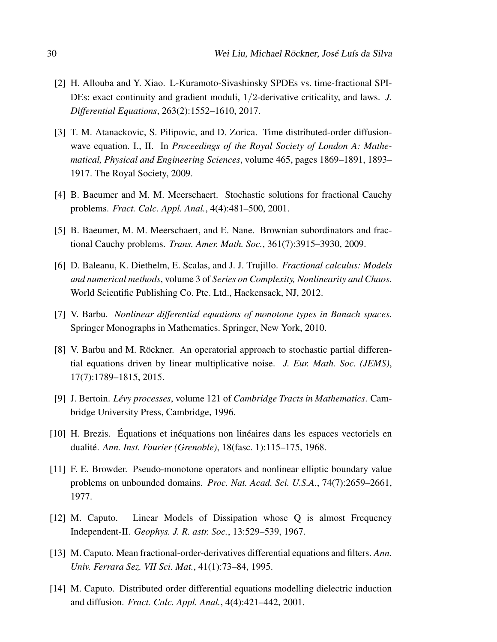- <span id="page-29-7"></span>[2] H. Allouba and Y. Xiao. L-Kuramoto-Sivashinsky SPDEs vs. time-fractional SPI-DEs: exact continuity and gradient moduli, 1/2-derivative criticality, and laws. *J. Differential Equations*, 263(2):1552–1610, 2017.
- <span id="page-29-5"></span>[3] T. M. Atanackovic, S. Pilipovic, and D. Zorica. Time distributed-order diffusionwave equation. I., II. In *Proceedings of the Royal Society of London A: Mathematical, Physical and Engineering Sciences*, volume 465, pages 1869–1891, 1893– 1917. The Royal Society, 2009.
- <span id="page-29-0"></span>[4] B. Baeumer and M. M. Meerschaert. Stochastic solutions for fractional Cauchy problems. *Fract. Calc. Appl. Anal.*, 4(4):481–500, 2001.
- <span id="page-29-1"></span>[5] B. Baeumer, M. M. Meerschaert, and E. Nane. Brownian subordinators and fractional Cauchy problems. *Trans. Amer. Math. Soc.*, 361(7):3915–3930, 2009.
- <span id="page-29-2"></span>[6] D. Baleanu, K. Diethelm, E. Scalas, and J. J. Trujillo. *Fractional calculus: Models and numerical methods*, volume 3 of *Series on Complexity, Nonlinearity and Chaos*. World Scientific Publishing Co. Pte. Ltd., Hackensack, NJ, 2012.
- <span id="page-29-8"></span>[7] V. Barbu. *Nonlinear differential equations of monotone types in Banach spaces*. Springer Monographs in Mathematics. Springer, New York, 2010.
- <span id="page-29-10"></span>[8] V. Barbu and M. Röckner. An operatorial approach to stochastic partial differential equations driven by linear multiplicative noise. *J. Eur. Math. Soc. (JEMS)*, 17(7):1789–1815, 2015.
- <span id="page-29-9"></span>[9] J. Bertoin. *Lévy processes*, volume 121 of *Cambridge Tracts in Mathematics*. Cambridge University Press, Cambridge, 1996.
- <span id="page-29-11"></span>[10] H. Brezis. Équations et inéquations non linéaires dans les espaces vectoriels en dualité. *Ann. Inst. Fourier (Grenoble)*, 18(fasc. 1):115–175, 1968.
- <span id="page-29-12"></span>[11] F. E. Browder. Pseudo-monotone operators and nonlinear elliptic boundary value problems on unbounded domains. *Proc. Nat. Acad. Sci. U.S.A.*, 74(7):2659–2661, 1977.
- <span id="page-29-3"></span>[12] M. Caputo. Linear Models of Dissipation whose Q is almost Frequency Independent-II. *Geophys. J. R. astr. Soc.*, 13:529–539, 1967.
- <span id="page-29-4"></span>[13] M. Caputo. Mean fractional-order-derivatives differential equations and filters. *Ann. Univ. Ferrara Sez. VII Sci. Mat.*, 41(1):73–84, 1995.
- <span id="page-29-6"></span>[14] M. Caputo. Distributed order differential equations modelling dielectric induction and diffusion. *Fract. Calc. Appl. Anal.*, 4(4):421–442, 2001.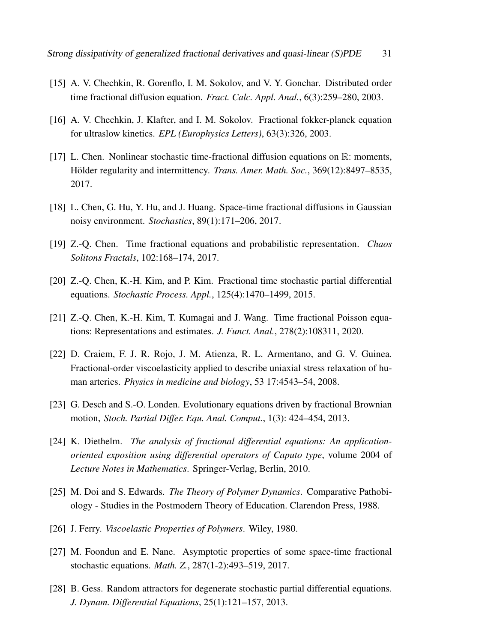- <span id="page-30-6"></span>[15] A. V. Chechkin, R. Gorenflo, I. M. Sokolov, and V. Y. Gonchar. Distributed order time fractional diffusion equation. *Fract. Calc. Appl. Anal.*, 6(3):259–280, 2003.
- <span id="page-30-7"></span>[16] A. V. Chechkin, J. Klafter, and I. M. Sokolov. Fractional fokker-planck equation for ultraslow kinetics. *EPL (Europhysics Letters)*, 63(3):326, 2003.
- <span id="page-30-12"></span>[17] L. Chen. Nonlinear stochastic time-fractional diffusion equations on R: moments, Hölder regularity and intermittency. *Trans. Amer. Math. Soc.*, 369(12):8497–8535, 2017.
- <span id="page-30-10"></span>[18] L. Chen, G. Hu, Y. Hu, and J. Huang. Space-time fractional diffusions in Gaussian noisy environment. *Stochastics*, 89(1):171–206, 2017.
- <span id="page-30-0"></span>[19] Z.-Q. Chen. Time fractional equations and probabilistic representation. *Chaos Solitons Fractals*, 102:168–174, 2017.
- <span id="page-30-8"></span>[20] Z.-Q. Chen, K.-H. Kim, and P. Kim. Fractional time stochastic partial differential equations. *Stochastic Process. Appl.*, 125(4):1470–1499, 2015.
- <span id="page-30-1"></span>[21] Z.-Q. Chen, K.-H. Kim, T. Kumagai and J. Wang. Time fractional Poisson equations: Representations and estimates. *J. Funct. Anal.*, 278(2):108311, 2020.
- <span id="page-30-5"></span>[22] D. Craiem, F. J. R. Rojo, J. M. Atienza, R. L. Armentano, and G. V. Guinea. Fractional-order viscoelasticity applied to describe uniaxial stress relaxation of human arteries. *Physics in medicine and biology*, 53 17:4543–54, 2008.
- <span id="page-30-11"></span>[23] G. Desch and S.-O. Londen. Evolutionary equations driven by fractional Brownian motion, *Stoch. Partial Differ. Equ. Anal. Comput.*, 1(3): 424–454, 2013.
- <span id="page-30-4"></span>[24] K. Diethelm. *The analysis of fractional differential equations: An applicationoriented exposition using differential operators of Caputo type*, volume 2004 of *Lecture Notes in Mathematics*. Springer-Verlag, Berlin, 2010.
- <span id="page-30-2"></span>[25] M. Doi and S. Edwards. *The Theory of Polymer Dynamics*. Comparative Pathobiology - Studies in the Postmodern Theory of Education. Clarendon Press, 1988.
- <span id="page-30-3"></span>[26] J. Ferry. *Viscoelastic Properties of Polymers*. Wiley, 1980.
- <span id="page-30-9"></span>[27] M. Foondun and E. Nane. Asymptotic properties of some space-time fractional stochastic equations. *Math. Z.*, 287(1-2):493–519, 2017.
- <span id="page-30-13"></span>[28] B. Gess. Random attractors for degenerate stochastic partial differential equations. *J. Dynam. Differential Equations*, 25(1):121–157, 2013.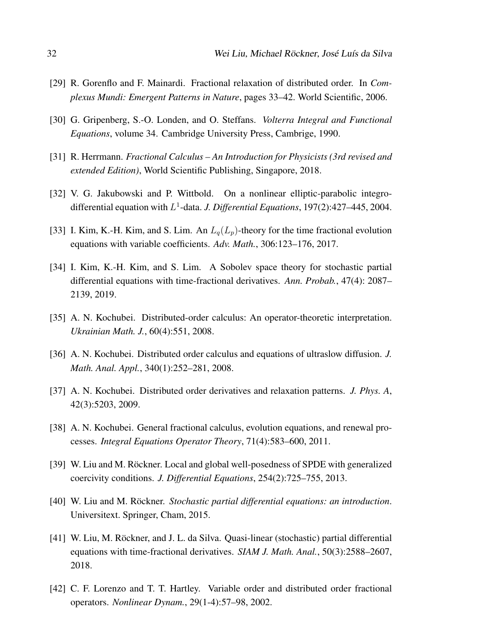- <span id="page-31-6"></span>[29] R. Gorenflo and F. Mainardi. Fractional relaxation of distributed order. In *Complexus Mundi: Emergent Patterns in Nature*, pages 33–42. World Scientific, 2006.
- <span id="page-31-11"></span>[30] G. Gripenberg, S.-O. Londen, and O. Steffans. *Volterra Integral and Functional Equations*, volume 34. Cambridge University Press, Cambrige, 1990.
- <span id="page-31-1"></span>[31] R. Herrmann. *Fractional Calculus – An Introduction for Physicists (3rd revised and extended Edition)*, World Scientific Publishing, Singapore, 2018.
- <span id="page-31-9"></span>[32] V. G. Jakubowski and P. Wittbold. On a nonlinear elliptic-parabolic integrodifferential equation with L 1 -data. *J. Differential Equations*, 197(2):427–445, 2004.
- <span id="page-31-2"></span>[33] I. Kim, K.-H. Kim, and S. Lim. An  $L_q(L_p)$ -theory for the time fractional evolution equations with variable coefficients. *Adv. Math.*, 306:123–176, 2017.
- <span id="page-31-10"></span>[34] I. Kim, K.-H. Kim, and S. Lim. A Sobolev space theory for stochastic partial differential equations with time-fractional derivatives. *Ann. Probab.*, 47(4): 2087– 2139, 2019.
- <span id="page-31-7"></span>[35] A. N. Kochubei. Distributed-order calculus: An operator-theoretic interpretation. *Ukrainian Math. J.*, 60(4):551, 2008.
- <span id="page-31-4"></span>[36] A. N. Kochubei. Distributed order calculus and equations of ultraslow diffusion. *J. Math. Anal. Appl.*, 340(1):252–281, 2008.
- <span id="page-31-5"></span>[37] A. N. Kochubei. Distributed order derivatives and relaxation patterns. *J. Phys. A*, 42(3):5203, 2009.
- <span id="page-31-8"></span>[38] A. N. Kochubei. General fractional calculus, evolution equations, and renewal processes. *Integral Equations Operator Theory*, 71(4):583–600, 2011.
- <span id="page-31-13"></span>[39] W. Liu and M. Röckner. Local and global well-posedness of SPDE with generalized coercivity conditions. *J. Differential Equations*, 254(2):725–755, 2013.
- <span id="page-31-12"></span>[40] W. Liu and M. Röckner. *Stochastic partial differential equations: an introduction*. Universitext. Springer, Cham, 2015.
- <span id="page-31-0"></span>[41] W. Liu, M. Röckner, and J. L. da Silva. Quasi-linear (stochastic) partial differential equations with time-fractional derivatives. *SIAM J. Math. Anal.*, 50(3):2588–2607, 2018.
- <span id="page-31-3"></span>[42] C. F. Lorenzo and T. T. Hartley. Variable order and distributed order fractional operators. *Nonlinear Dynam.*, 29(1-4):57–98, 2002.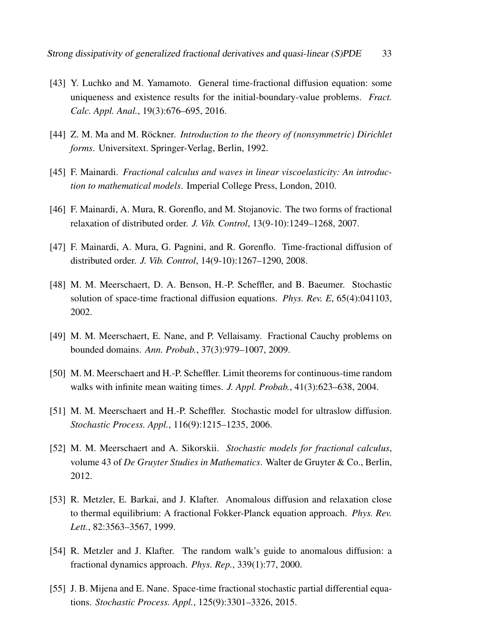- <span id="page-32-10"></span>[43] Y. Luchko and M. Yamamoto. General time-fractional diffusion equation: some uniqueness and existence results for the initial-boundary-value problems. *Fract. Calc. Appl. Anal.*, 19(3):676–695, 2016.
- <span id="page-32-12"></span>[44] Z. M. Ma and M. Röckner. *Introduction to the theory of (nonsymmetric) Dirichlet forms*. Universitext. Springer-Verlag, Berlin, 1992.
- <span id="page-32-1"></span>[45] F. Mainardi. *Fractional calculus and waves in linear viscoelasticity: An introduction to mathematical models*. Imperial College Press, London, 2010.
- <span id="page-32-8"></span>[46] F. Mainardi, A. Mura, R. Gorenflo, and M. Stojanovic. The two forms of fractional relaxation of distributed order. *J. Vib. Control*, 13(9-10):1249–1268, 2007.
- <span id="page-32-9"></span>[47] F. Mainardi, A. Mura, G. Pagnini, and R. Gorenflo. Time-fractional diffusion of distributed order. *J. Vib. Control*, 14(9-10):1267–1290, 2008.
- <span id="page-32-5"></span>[48] M. M. Meerschaert, D. A. Benson, H.-P. Scheffler, and B. Baeumer. Stochastic solution of space-time fractional diffusion equations. *Phys. Rev. E*, 65(4):041103, 2002.
- <span id="page-32-0"></span>[49] M. M. Meerschaert, E. Nane, and P. Vellaisamy. Fractional Cauchy problems on bounded domains. *Ann. Probab.*, 37(3):979–1007, 2009.
- <span id="page-32-6"></span>[50] M. M. Meerschaert and H.-P. Scheffler. Limit theorems for continuous-time random walks with infinite mean waiting times. *J. Appl. Probab.*, 41(3):623–638, 2004.
- <span id="page-32-7"></span>[51] M. M. Meerschaert and H.-P. Scheffler. Stochastic model for ultraslow diffusion. *Stochastic Process. Appl.*, 116(9):1215–1235, 2006.
- <span id="page-32-2"></span>[52] M. M. Meerschaert and A. Sikorskii. *Stochastic models for fractional calculus*, volume 43 of *De Gruyter Studies in Mathematics*. Walter de Gruyter & Co., Berlin, 2012.
- <span id="page-32-3"></span>[53] R. Metzler, E. Barkai, and J. Klafter. Anomalous diffusion and relaxation close to thermal equilibrium: A fractional Fokker-Planck equation approach. *Phys. Rev. Lett.*, 82:3563–3567, 1999.
- <span id="page-32-4"></span>[54] R. Metzler and J. Klafter. The random walk's guide to anomalous diffusion: a fractional dynamics approach. *Phys. Rep.*, 339(1):77, 2000.
- <span id="page-32-11"></span>[55] J. B. Mijena and E. Nane. Space-time fractional stochastic partial differential equations. *Stochastic Process. Appl.*, 125(9):3301–3326, 2015.